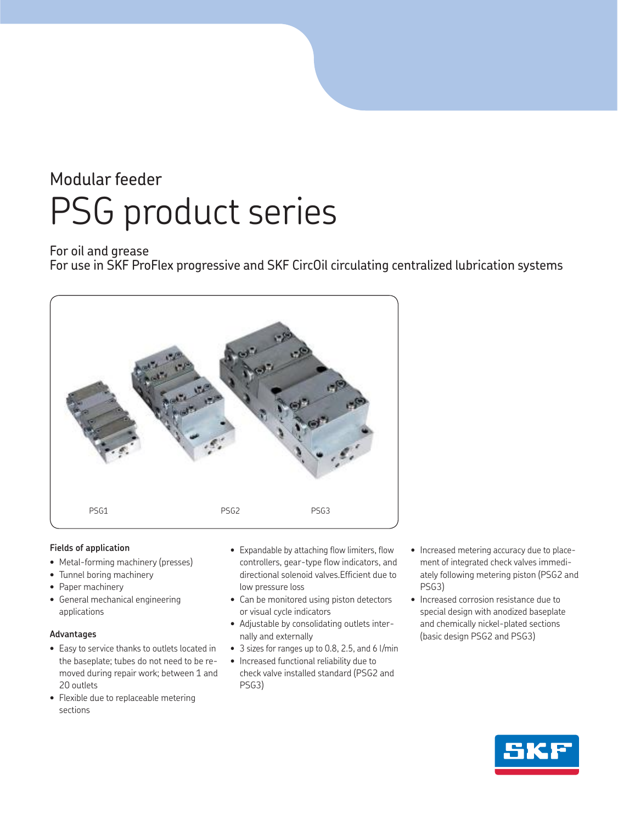## Modular feeder PSG product series

### For oil and grease

For use in SKF ProFlex progressive and SKF CircOil circulating centralized lubrication systems



### **Fields of application**

- Metal-forming machinery (presses)
- Tunnel boring machinery
- Paper machinery
- General mechanical engineering applications

### **Advantages**

- Easy to service thanks to outlets located in the baseplate; tubes do not need to be removed during repair work; between 1 and 20 outlets
- Flexible due to replaceable metering sections
- Expandable by attaching flow limiters, flow controllers, gear-type flow indicators, and directional solenoid valves.Efficient due to low pressure loss
- Can be monitored using piston detectors or visual cycle indicators
- Adjustable by consolidating outlets internally and externally
- 3 sizes for ranges up to 0.8, 2.5, and 6 l/min
- Increased functional reliability due to check valve installed standard (PSG2 and PSG3)
- Increased metering accuracy due to placement of integrated check valves immediately following metering piston (PSG2 and PSG3)
- Increased corrosion resistance due to special design with anodized baseplate and chemically nickel-plated sections (basic design PSG2 and PSG3)

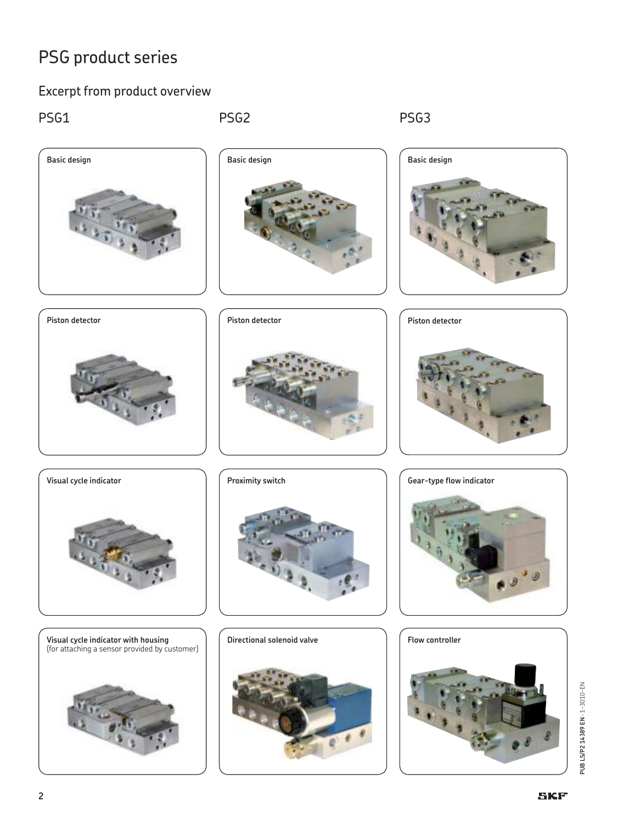### Excerpt from product overview

PSG1 PSG2 PSG2 PSG3

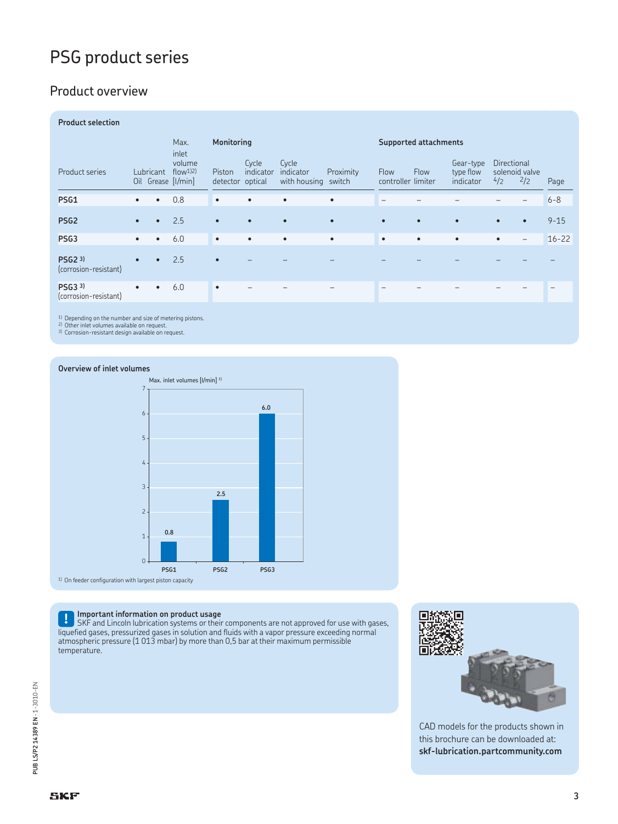### Product overview

| <b>Product selection</b>         |           |           |                                                    |                            |                    |                                           |           |                                   |           |                                     |                    |                       |           |
|----------------------------------|-----------|-----------|----------------------------------------------------|----------------------------|--------------------|-------------------------------------------|-----------|-----------------------------------|-----------|-------------------------------------|--------------------|-----------------------|-----------|
|                                  |           |           | Max.                                               | Monitoring                 |                    |                                           |           | <b>Supported attachments</b>      |           |                                     |                    |                       |           |
| Product series                   |           | Lubricant | inlet<br>volume<br>$flow1$ )<br>Oil Grease [I/min] | Piston<br>detector optical | Cycle<br>indicator | Cycle<br>indicator<br>with housing switch | Proximity | <b>Flow</b><br>controller limiter | Flow      | Gear-type<br>type flow<br>indicator | Directional<br>4/2 | solenoid valve<br>2/2 | Page      |
| <b>PSG1</b>                      | $\bullet$ | $\bullet$ | 0.8                                                | $\bullet$                  | ٠                  | $\bullet$                                 | $\bullet$ | $\overline{\phantom{0}}$          |           |                                     |                    |                       | $6 - 8$   |
| PSG <sub>2</sub>                 | $\bullet$ | $\bullet$ | 2.5                                                | $\bullet$                  |                    | $\bullet$                                 | $\bullet$ | $\bullet$                         | $\bullet$ |                                     | $\bullet$          | $\bullet$             | $9 - 15$  |
| PSG <sub>3</sub>                 | $\bullet$ | $\bullet$ | 6.0                                                | $\bullet$                  | ٠                  | $\bullet$                                 | $\bullet$ | $\bullet$                         | $\bullet$ | $\bullet$                           | $\bullet$          | $-$                   | $16 - 22$ |
| PSG2 3)<br>(corrosion-resistant) | $\bullet$ | $\bullet$ | 2.5                                                | $\bullet$                  |                    |                                           |           |                                   |           |                                     |                    |                       |           |
| PSG3 3)<br>(corrosion-resistant) | $\bullet$ | $\bullet$ | 6.0                                                | $\bullet$                  |                    |                                           |           |                                   |           |                                     |                    |                       |           |

1) Depending on the number and size of metering pistons. 2) Other inlet volumes available on request. 3) Corrosion-resistant design available on request.

#### **Overview of inlet volumes**



**! Important information on product usage** SKF and Lincoln lubrication systems or their components are not approved for use with gases, liquefied gases, pressurized gases in solution and fluids with a vapor pressure exceeding normal atmospheric pressure (1 013 mbar) by more than 0,5 bar at their maximum permissible temperature.



CAD models for the products shown in this brochure can be downloaded at: **skf-lubrication.partcommunity.com**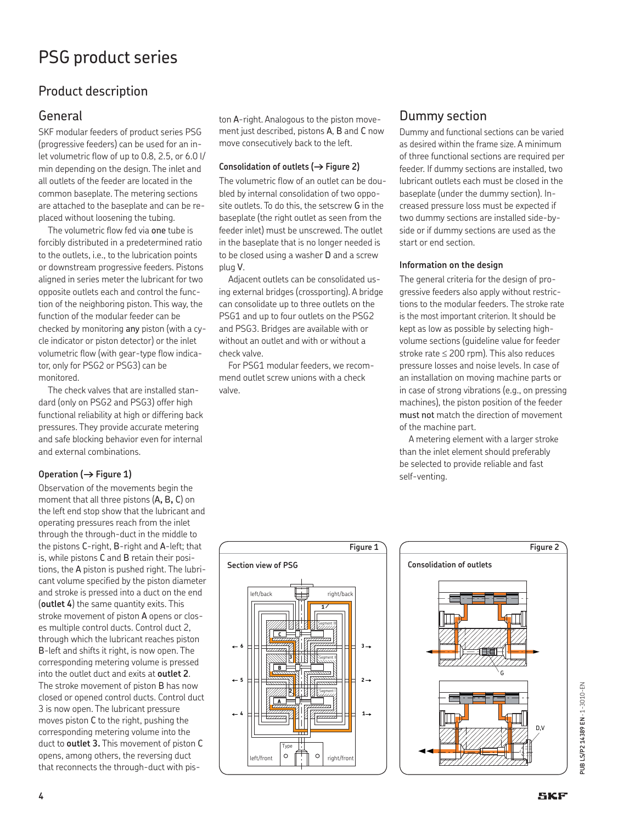### Product description

### General

SKF modular feeders of product series PSG (progressive feeders) can be used for an inlet volumetric flow of up to 0.8, 2.5, or 6.0 l/ min depending on the design. The inlet and all outlets of the feeder are located in the common baseplate. The metering sections are attached to the baseplate and can be replaced without loosening the tubing.

The volumetric flow fed via one tube is forcibly distributed in a predetermined ratio to the outlets, i.e., to the lubrication points or downstream progressive feeders. Pistons aligned in series meter the lubricant for two opposite outlets each and control the function of the neighboring piston. This way, the function of the modular feeder can be checked by monitoring any piston (with a cycle indicator or piston detector) or the inlet volumetric flow (with gear-type flow indicator, only for PSG2 or PSG3) can be monitored.

The check valves that are installed standard (only on PSG2 and PSG3) offer high functional reliability at high or differing back pressures. They provide accurate metering and safe blocking behavior even for internal and external combinations.

### Operation ( $\rightarrow$  Figure 1)

Observation of the movements begin the moment that all three pistons (A**,** B**,** C) on the left end stop show that the lubricant and operating pressures reach from the inlet through the through-duct in the middle to the pistons C-right, B-right and A-left; that is, while pistons C and B retain their positions, the A piston is pushed right. The lubricant volume specified by the piston diameter and stroke is pressed into a duct on the end (**outlet 4**) the same quantity exits. This stroke movement of piston A opens or closes multiple control ducts. Control duct 2, through which the lubricant reaches piston B-left and shifts it right, is now open. The corresponding metering volume is pressed into the outlet duct and exits at **outlet 2**. The stroke movement of piston B has now closed or opened control ducts. Control duct 3 is now open. The lubricant pressure moves piston C to the right, pushing the corresponding metering volume into the duct to **outlet 3.** This movement of piston C opens, among others, the reversing duct that reconnects the through-duct with piston A-right. Analogous to the piston movement just described, pistons A, B and C now move consecutively back to the left.

### Consolidation of outlets ( $\rightarrow$  Figure 2)

The volumetric flow of an outlet can be doubled by internal consolidation of two opposite outlets. To do this, the setscrew G in the baseplate (the right outlet as seen from the feeder inlet) must be unscrewed. The outlet in the baseplate that is no longer needed is to be closed using a washer D and a screw plug V.

Adjacent outlets can be consolidated using external bridges (crossporting). A bridge can consolidate up to three outlets on the PSG1 and up to four outlets on the PSG2 and PSG3. Bridges are available with or without an outlet and with or without a check valve.

For PSG1 modular feeders, we recommend outlet screw unions with a check valve.

### Dummy section

Dummy and functional sections can be varied as desired within the frame size. A minimum of three functional sections are required per feeder. If dummy sections are installed, two lubricant outlets each must be closed in the baseplate (under the dummy section). Increased pressure loss must be expected if two dummy sections are installed side-byside or if dummy sections are used as the start or end section.

### **Information on the design**

The general criteria for the design of progressive feeders also apply without restrictions to the modular feeders. The stroke rate is the most important criterion. It should be kept as low as possible by selecting highvolume sections (guideline value for feeder stroke rate  $\leq$  200 rpm). This also reduces pressure losses and noise levels. In case of an installation on moving machine parts or in case of strong vibrations (e.g., on pressing machines), the piston position of the feeder must not match the direction of movement of the machine part.

A metering element with a larger stroke than the inlet element should preferably be selected to provide reliable and fast self-venting.





PUB LS/P2 14389 EN - 1-3010-EN **PUB LS/P2 14389 EN** · 1-3010-EN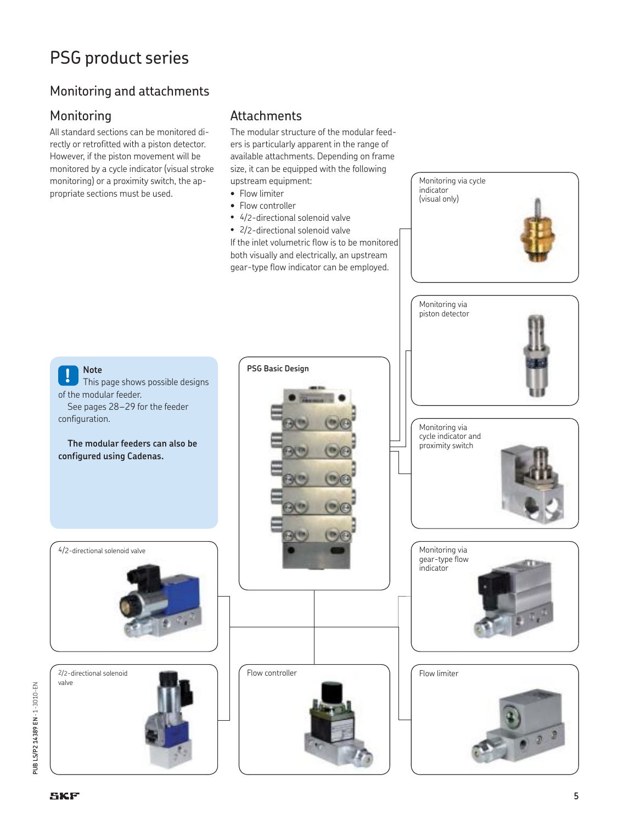### Monitoring and attachments

### Monitoring

All standard sections can be monitored directly or retrofitted with a piston detector. However, if the piston movement will be monitored by a cycle indicator (visual stroke monitoring) or a proximity switch, the appropriate sections must be used.

### **Attachments**

The modular structure of the modular feeders is particularly apparent in the range of available attachments. Depending on frame size, it can be equipped with the following upstream equipment:

Monitoring via cycle indicator (visual only)

- Flow limiter
- Flow controller
- 4/2-directional solenoid valve

• 2/2-directional solenoid valve If the inlet volumetric flow is to be monitored both visually and electrically, an upstream gear-type flow indicator can be employed.

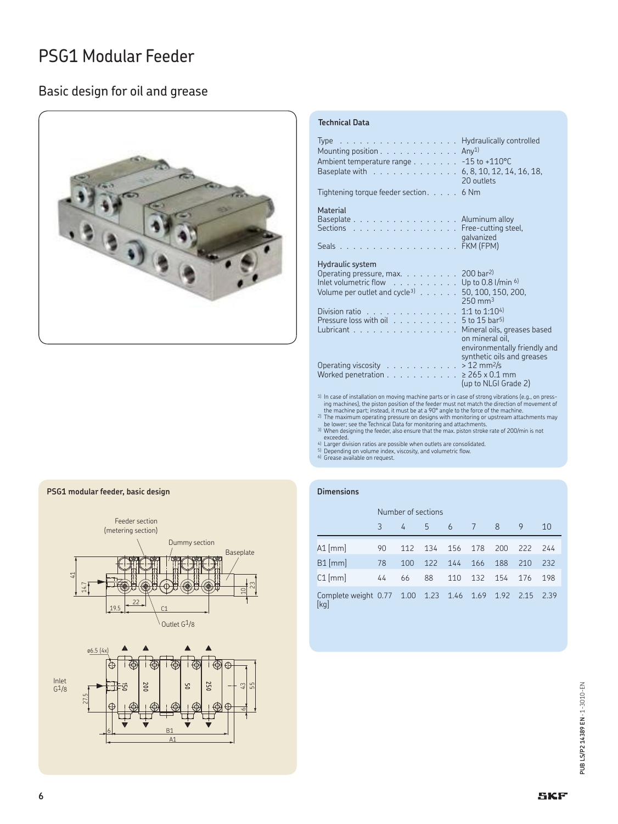### Basic design for oil and grease



### **Technical Data**

| Type Hydraulically controlled<br>Mounting position $\ldots \ldots \ldots \ldots$ Any <sup>1)</sup><br>Ambient temperature range - 15 to +110°C<br>Baseplate with 6, 8, 10, 12, 14, 16, 18,                            | 20 outlets                                         |
|-----------------------------------------------------------------------------------------------------------------------------------------------------------------------------------------------------------------------|----------------------------------------------------|
| Tightening torque feeder section. 6 Nm                                                                                                                                                                                |                                                    |
| <b>Material</b><br>Baseplate Aluminum alloy<br>Sections Free-cutting steel,<br>Seals FKM (FPM)                                                                                                                        | galvanized                                         |
| Hydraulic system<br>Operating pressure, max. 200 bar <sup>2)</sup><br>Inlet volumetric flow $\ldots \ldots \ldots \ldots$ Up to 0.8 l/min $6$<br>Volume per outlet and cycle <sup>3</sup> $\ldots$ 50, 100, 150, 200, | $250 \text{ mm}^3$                                 |
| Division ratio 1:1 to 1:104)<br>Pressure loss with oil $\ldots \ldots \ldots \ldots 5$ to 15 bar <sup>5)</sup><br>Lubricant Nineral oils, greases based                                                               | on mineral oil,<br>environmentally friendly and    |
| Operating viscosity > 12 mm <sup>2</sup> /s<br>Worked penetration 265 x 0.1 mm<br>1000 - 1000 - 1000 - 1000 - 1000 - 1000 - 1000 - 1000 - 1000 - 1000 - 1000 - 1000 - 1000 - 1000 - 1000 - 1000 -                     | synthetic oils and greases<br>(up to NLGI Grade 2) |
|                                                                                                                                                                                                                       |                                                    |

<sup>1</sup> In case of installation on moving machine parts or in case of strong vibrations (e.g., on pressing machines), the piston position of the feeder must not match the direction of movement of<br>the machine part; instead, it

4) Larger division ratios are possible when outlets are consolidated. 5) Depending on volume index, viscosity, and volumetric flow. 6) Grease available on request.

#### **Dimensions**

|                                                            | Number of sections |     |       |     |     |     |     |      |
|------------------------------------------------------------|--------------------|-----|-------|-----|-----|-----|-----|------|
|                                                            | 3                  | 4   | $-57$ | 6 7 |     | - 8 | 9   | 10   |
| A1 [mm]                                                    | 90                 | 112 | 134   | 156 | 178 | 200 | 222 | 244  |
| $B1$ [mm]                                                  | 78                 | 100 | 122   | 144 | 166 | 188 | 210 | 232  |
| $C1$ [mm]                                                  | 44                 | 66  | 88    | 110 | 132 | 154 | 176 | 198  |
| Complete weight 0.77 1.00 1.23 1.46 1.69 1.92 2.15<br>[kg] |                    |     |       |     |     |     |     | 2.39 |



#### **PSG1 modular feeder, basic design**

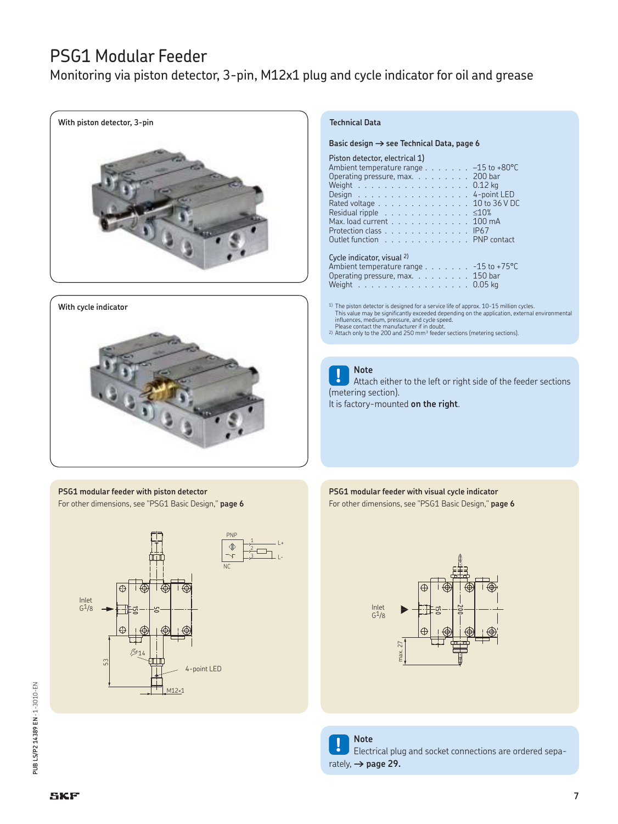Monitoring via piston detector, 3-pin, M12x1 plug and cycle indicator for oil and grease



#### **With cycle indicator**



#### **PSG1 modular feeder with piston detector** For other dimensions, see "PSG1 Basic Design," **page 6**



#### **Technical Data**

Basic design  $\rightarrow$  see Technical Data, page 6

### Piston detector, electrical 1)

| Ambient temperature range $\ldots \ldots \ldots -15$ to +80°C        |  |  |  |  |  |  |  |  |
|----------------------------------------------------------------------|--|--|--|--|--|--|--|--|
| Operating pressure, max. $\ldots$ 200 bar                            |  |  |  |  |  |  |  |  |
| Weight $\ldots$ $\ldots$ $\ldots$ $\ldots$ $\ldots$ $\ldots$ 0.12 kg |  |  |  |  |  |  |  |  |
| Design 4-point LED                                                   |  |  |  |  |  |  |  |  |
| Rated voltage 10 to 36 V DC                                          |  |  |  |  |  |  |  |  |
| Residual ripple $\ldots$ $\leq 10\%$                                 |  |  |  |  |  |  |  |  |
| Max. load current $\ldots \ldots \ldots \ldots 100$ mA               |  |  |  |  |  |  |  |  |
| Protection class IP67                                                |  |  |  |  |  |  |  |  |
| Outlet function PNP contact                                          |  |  |  |  |  |  |  |  |
|                                                                      |  |  |  |  |  |  |  |  |
| Cycle indicator, visual 2)                                           |  |  |  |  |  |  |  |  |
|                                                                      |  |  |  |  |  |  |  |  |
| Ambient temperature range -15 to +75°C                               |  |  |  |  |  |  |  |  |
| Onoroting measure matrix<br>1E <sub>0</sub>                          |  |  |  |  |  |  |  |  |

)perating pressure, max.  $\; \ldots \; \ldots \; \ldots \;$ Weight . . . . . . . . . . . . . . . . . 0.05 kg

1) The piston detector is designed for a service life of approx. 10-15 million cycles. This value may be significantly exceeded depending on the application, external environmental

influences, medium, pressure, and cycle speed. Please contact the manufacturer if in doubt. 2) Attach only to the 200 and 250 mm³ feeder sections (metering sections).

**! Note** Attach either to the left or right side of the feeder sections (metering section).

It is factory-mounted **on the right**.

#### **PSG1 modular feeder with visual cycle indicator** For other dimensions, see "PSG1 Basic Design," **page 6**



**! Note** Electrical plug and socket connections are ordered separately,  $\rightarrow$  page 29.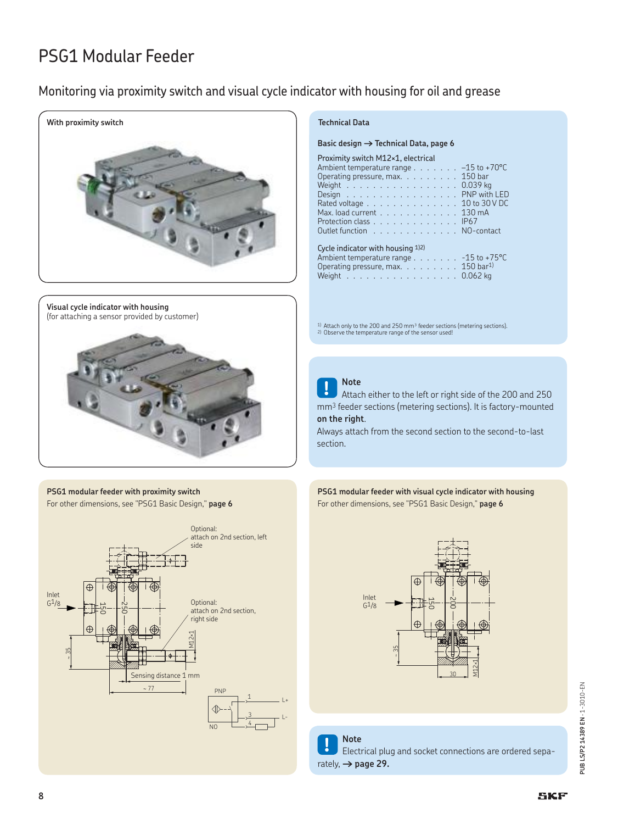### Monitoring via proximity switch and visual cycle indicator with housing for oil and grease



**Visual cycle indicator with housing** (for attaching a sensor provided by customer)



#### **PSG1 modular feeder with proximity switch** For other dimensions, see "PSG1 Basic Design," **page 6**



#### Basic design  $\rightarrow$  Technical Data, page 6

#### Proximity switch M12×1, electrical

| Ambient temperature range $\ldots \ldots \ldots -15$ to +70 °C |  |  |  |  |  |  |  |  |  |
|----------------------------------------------------------------|--|--|--|--|--|--|--|--|--|
| Operating pressure, max. 150 bar                               |  |  |  |  |  |  |  |  |  |
| Weight 0.039 kg                                                |  |  |  |  |  |  |  |  |  |
| Design PNP with LED                                            |  |  |  |  |  |  |  |  |  |
| Rated voltage 10 to 30 V DC                                    |  |  |  |  |  |  |  |  |  |
| Max. load current 130 mA                                       |  |  |  |  |  |  |  |  |  |
| Protection class IP67                                          |  |  |  |  |  |  |  |  |  |
| Outlet function NO-contact                                     |  |  |  |  |  |  |  |  |  |
|                                                                |  |  |  |  |  |  |  |  |  |
| Cycle indicator with housing $1/2$                             |  |  |  |  |  |  |  |  |  |
| Ambient temperature range $\ldots$ -15 to +75 °C               |  |  |  |  |  |  |  |  |  |

Operating pressure, max.  $\ldots$  . . . . . . 150 bar<sup>1)</sup> Weight . . . . . . . . . . . . . . . . . . 0.062 kg

 $1)$  Attach only to the 200 and 250 mm $^3$  feeder sections (metering sections).<br>2) Observe the temperature range of the sensor used!

**! Note** Attach either to the left or right side of the 200 and 250 mm3 feeder sections (metering sections). It is factory-mounted **on the right**.

Always attach from the second section to the second-to-last section.

#### **PSG1 modular feeder with visual cycle indicator with housing** For other dimensions, see "PSG1 Basic Design," **page 6**



**! Note** Electrical plug and socket connections are ordered separately,  $\rightarrow$  page 29.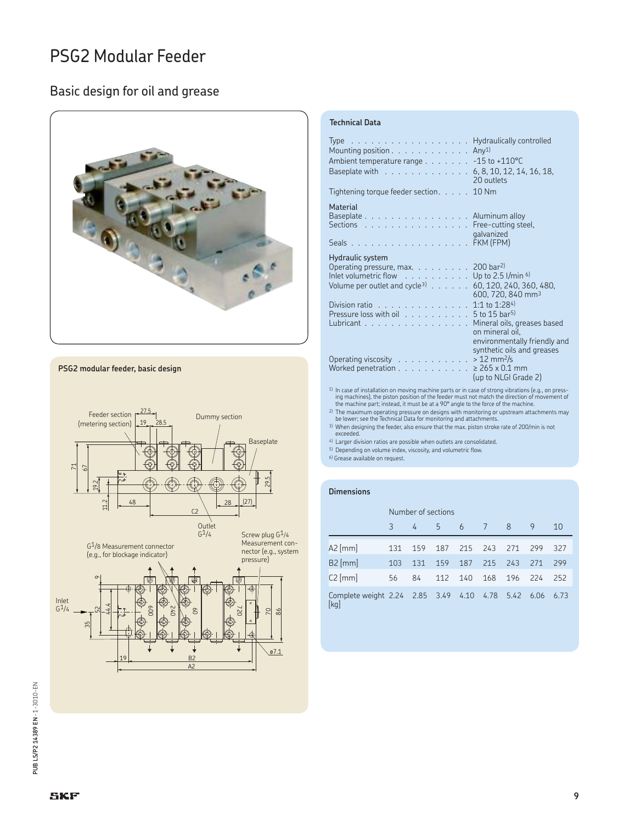### Basic design for oil and grease



**PSG2 modular feeder, basic design**



#### **Technical Data**

| Type Hydraulically controlled<br>Mounting position $\ldots \ldots \ldots \ldots$ Any <sup>1)</sup><br>Ambient temperature range - 15 to +110°C<br>Baseplate with $\ldots \ldots \ldots \ldots \ldots 6, 8, 10, 12, 14, 16, 18,$ | 20 outlets                                                                    |
|---------------------------------------------------------------------------------------------------------------------------------------------------------------------------------------------------------------------------------|-------------------------------------------------------------------------------|
| Tightening torque feeder section. $\ldots$ . 10 Nm                                                                                                                                                                              |                                                                               |
| <b>Material</b><br>Baseplate Aluminum alloy<br>Sections Free-cutting steel,<br>Seals FKM (FPM)                                                                                                                                  | galvanized                                                                    |
| Hydraulic system<br>Operating pressure, max. $\ldots$ 200 bar <sup>2)</sup><br>Inlet volumetric flow $\ldots$ Up to 2.5 l/min $^{6}$<br>Volume per outlet and cycle <sup>3)</sup> $\ldots \ldots$ . 60, 120, 240, 360, 480,     | 600, 720, 840 mm <sup>3</sup>                                                 |
| Division ratio 1:1 to 1:284)<br>Pressure loss with oil 5 to 15 bar <sup>5)</sup><br>Lubricant Nineral oils, greases based                                                                                                       | on mineral oil.<br>environmentally friendly and<br>synthetic oils and greases |
| Operating viscosity $\ldots \ldots \ldots \ldots > 12$ mm <sup>2</sup> /s<br>Worked penetration 265 x 0.1 mm                                                                                                                    | (up to NLGI Grade 2)                                                          |
| <sup>1)</sup> In case of installation on moving machine parts or in case of strong vibrations (e.g., on press-                                                                                                                  |                                                                               |

<sup>1)</sup> In case of installation on moving machine parts or in case of strong vibrations (e.g., on pressing ing machines), the piston position of the feeder must not match the direction of movement of the machine part; instea

2) The maximum operating pressure on designs with monitoring or upstream attachments may be lower; see the Technical Data for monitoring and attachments.

3) When designing the feeder, also ensure that the max. piston stroke rate of 200/min is not exceeded.

4) Larger division ratios are possible when outlets are consolidated.

5) Depending on volume index, viscosity, and volumetric flow.

6) Grease available on request.

#### **Dimensions**

|                                                  | Number of sections |     |     |     |     |      |      |      |
|--------------------------------------------------|--------------------|-----|-----|-----|-----|------|------|------|
|                                                  | 3                  | 4   | 5.  | 6 7 |     | - 8  | 9    | 10   |
| $A2$ [mm]                                        | 131                | 159 | 187 | 215 | 243 | 271  | 299  | 327  |
| $B2$ [mm]                                        | 103                | 131 | 159 | 187 | 215 | 243  | 271  | 299  |
| $C2$ [mm]                                        | 56                 | 84  | 112 | 140 | 168 | 196  | 224  | 252  |
| Complete weight 2.24 2.85 3.49 4.10 4.78<br>[kg] |                    |     |     |     |     | 5.42 | 6.06 | 6.73 |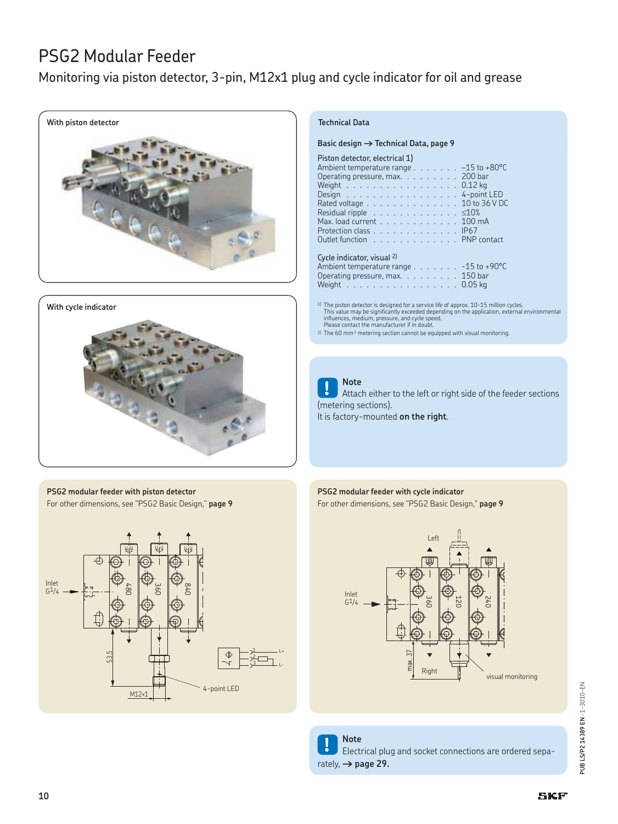Monitoring via piston detector, 3-pin, M12x1 plug and cycle indicator for oil and grease







#### **PSG2 modular feeder with piston detector** For other dimensions, see "PSG2 Basic Design," **page 9**



### **Technical Data**

Basic design  $\rightarrow$  Technical Data, page 9

#### Piston detector, electrical 1)

| Ambient temperature range $\ldots \ldots \ldots -15$ to +80°C        |
|----------------------------------------------------------------------|
| Operating pressure, max. 200 bar                                     |
| Weight $\ldots$ $\ldots$ $\ldots$ $\ldots$ $\ldots$ $\ldots$ 0.12 kg |
| Design 4-point LED                                                   |
| Rated voltage 10 to 36 V DC                                          |
| Residual ripple $\ldots$ $\leq 10\%$                                 |
| Max. load current 100 mA                                             |
| Protection class IP67                                                |
| Outlet function PNP contact                                          |
|                                                                      |
| Cycle indicator, visual 2)                                           |
|                                                                      |

Ambient temperature range . . . . . . . - 15 to +90°C Operating pressure, max. . . . . . . . . . 150 bar Weight . . . . . . . . . . . . . . . . . 0.05 kg

<sup>1)</sup> The piston detector is designed for a service life of approx. 10-15 million cycles.<br>This value may be significantly exceeded depending on the application, external environmental<br>influences, medium, pressure, and cycle Please contact the manufacturer if in doubt.

 $2)$  The 60 mm<sup>3</sup> metering section cannot be equipped with visual monitoring.

**! Note** Attach either to the left or right side of the feeder sections (metering sections).

It is factory-mounted **on the right**.

### **PSG2 modular feeder with cycle indicator**

For other dimensions, see "PSG2 Basic Design," **page 9**



PUB LS/P2 14389 EN - 1-3010-EN **PUB LS/P2 14389 EN** · 1-3010-EN

**! Note** Electrical plug and socket connections are ordered separately,  $\rightarrow$  page 29.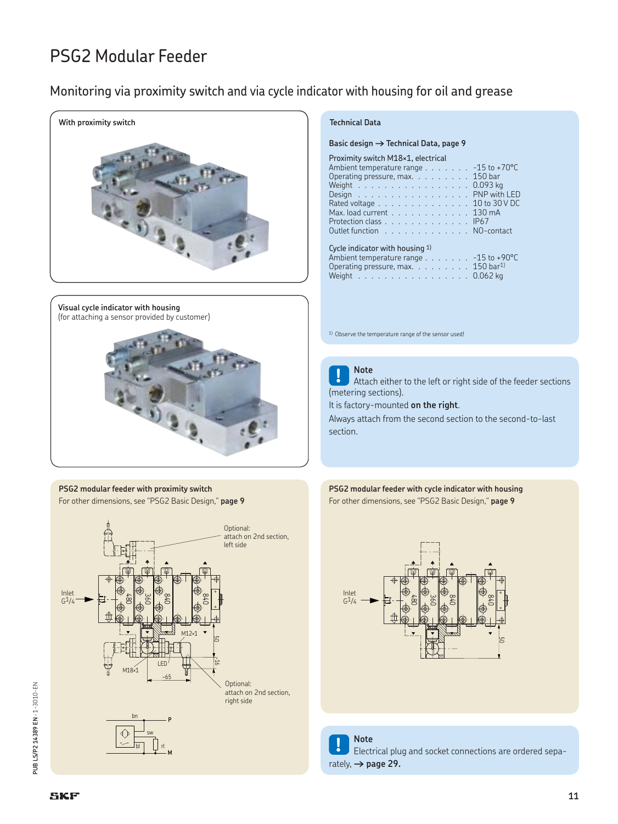### Monitoring via proximity switch and via cycle indicator with housing for oil and grease



**Visual cycle indicator with housing** (for attaching a sensor provided by customer)



**PSG2 modular feeder with proximity switch** For other dimensions, see "PSG2 Basic Design," **page 9**



#### **Technical Data**

Basic design  $\rightarrow$  Technical Data, page 9

| Proximity switch M18×1, electrical               |
|--------------------------------------------------|
| Ambient temperature range $\ldots$ -15 to +70 °C |
| Operating pressure, max. 150 bar                 |
| Weight 0.093 kg                                  |
| Design PNP with LED                              |
| Rated voltage 10 to 30 V DC                      |
| Max. load current 130 mA                         |
| Protection class IP67                            |
| Outlet function NO-contact                       |
|                                                  |

| Cycle indicator with housing 1)                         |  |
|---------------------------------------------------------|--|
| Ambient temperature range - 15 to +90°C                 |  |
| Operating pressure, max. $\ldots$ 150 bar <sup>1)</sup> |  |
| Weight 0.062 kg                                         |  |

1) Observe the temperature range of the sensor used!



**! Note** Attach either to the left or right side of the feeder sections (metering sections).

It is factory-mounted **on the right**.

Always attach from the second section to the second-to-last section.





**! Note** Electrical plug and socket connections are ordered separately,  $\rightarrow$  page 29.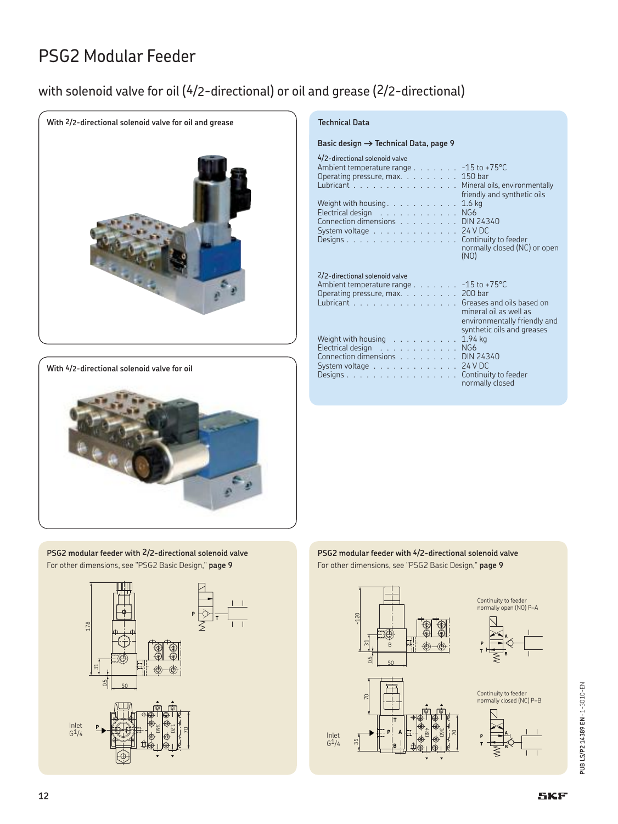### with solenoid valve for oil (4/2-directional) or oil and grease (2/2-directional)



**With 4/2-directional solenoid valve for oil**



**PSG2 modular feeder with 2/2-directional solenoid valve** For other dimensions, see "PSG2 Basic Design," **page 9**



#### **Technical Data**

| 4/2-directional solenoid valve<br>Ambient temperature range $\ldots \ldots \ldots -15$ to +75°C<br>Operating pressure, max. 150 bar<br>Lubricant Mineral oils, environmentally<br>Weight with housing. $\ldots \ldots \ldots \ldots 1.6$ kg<br>Electrical design $\ldots \ldots \ldots \ldots$ NG6<br>Connection dimensions DIN 24340<br>System voltage $\ldots \ldots \ldots \ldots$ 24 V DC<br>Designs Continuity to feeder                   |  |  | <b>CONTRACTOR</b> | friendly and synthetic oils<br>normally closed (NC) or open<br>(NO)                                     |
|-------------------------------------------------------------------------------------------------------------------------------------------------------------------------------------------------------------------------------------------------------------------------------------------------------------------------------------------------------------------------------------------------------------------------------------------------|--|--|-------------------|---------------------------------------------------------------------------------------------------------|
| 2/2-directional solenoid valve<br>Ambient temperature range $\ldots \ldots \ldots -15$ to +75°C<br>Operating pressure, $max. \ldots \ldots$ 200 bar<br>Lubricant Greases and oils based on<br>Weight with housing $\ldots \ldots \ldots \ldots 1.94$ kg<br>Electrical design $\ldots \ldots \ldots \ldots$ NG6<br>Connection dimensions DIN 24340<br>System voltage $\ldots \ldots \ldots \ldots \ldots 24$ VDC<br>Designs Continuity to feeder |  |  |                   | mineral oil as well as<br>environmentally friendly and<br>synthetic oils and greases<br>normally closed |





PUB LS/P2 14389 EN - 1-3010-EN **PUB LS/P2 14389 EN** · 1-3010-EN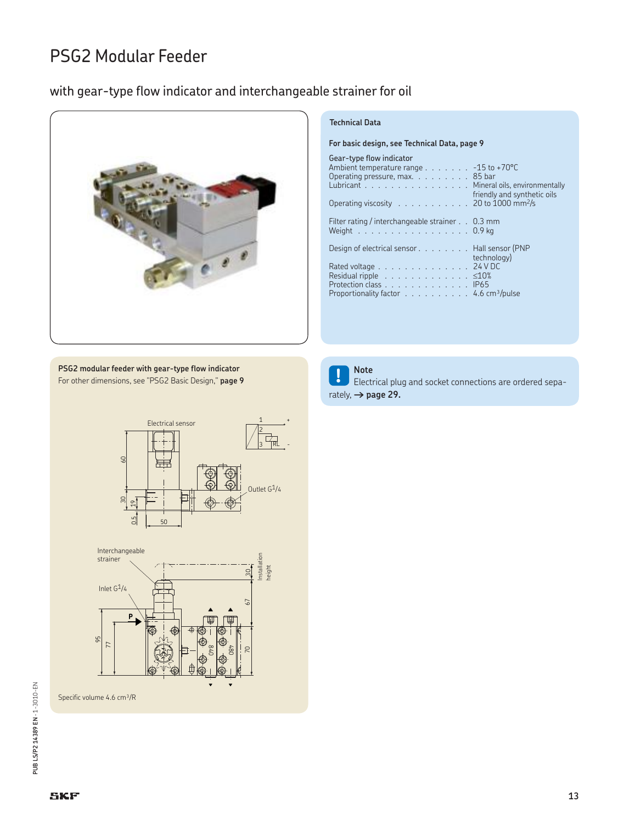### with gear-type flow indicator and interchangeable strainer for oil



#### **Technical Data**

rately,  $\rightarrow$  page 29.

**For basic design, see Technical Data, page 9**

| Gear-type flow indicator<br>Ambient temperature range $\ldots$ -15 to +70°C<br>Operating pressure, max. 85 bar<br>Lubricant Mineral oils, environmentally<br>Operating viscosity 20 to 1000 mm <sup>2</sup> /s | friendly and synthetic oils |
|----------------------------------------------------------------------------------------------------------------------------------------------------------------------------------------------------------------|-----------------------------|
| Filter rating / interchangeable strainer 0.3 mm<br>Weight $\ldots \ldots \ldots \ldots \ldots \ldots 0.9$ kg                                                                                                   |                             |
| Design of electrical sensor Hall sensor (PNP                                                                                                                                                                   | technology)                 |
| Rated voltage 24 V DC                                                                                                                                                                                          |                             |
| Residual ripple $\ldots \ldots \ldots \ldots \ldots$ $\leq 10\%$                                                                                                                                               |                             |
| Protection class IP65                                                                                                                                                                                          |                             |
| Proportionality factor $\dots \dots \dots \dots 4.6$ cm <sup>3</sup> /pulse                                                                                                                                    |                             |

**! Note** Electrical plug and socket connections are ordered sepa-

**PSG2 modular feeder with gear-type flow indicator** For other dimensions, see "PSG2 Basic Design," **page 9**



Specific volume 4.6 cm<sup>3</sup>/R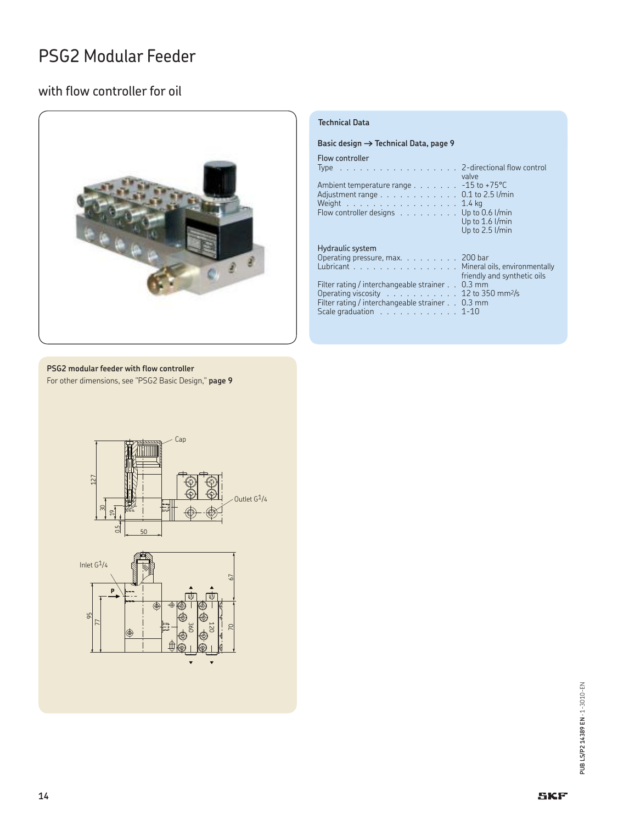### with flow controller for oil



#### **Technical Data**

#### Basic design  $\rightarrow$  Technical Data, page 9

Flow controller

| Type 2-directional flow control                                                                                                                                                                                                                           | valve                                |
|-----------------------------------------------------------------------------------------------------------------------------------------------------------------------------------------------------------------------------------------------------------|--------------------------------------|
| Ambient temperature range $\ldots \ldots \ldots -15$ to +75 °C<br>Adjustment range $\ldots \ldots \ldots \ldots \ldots$ 0.1 to 2.5 l/min<br>Weight $\ldots \ldots \ldots \ldots \ldots \ldots 1.4$ kg<br>Flow controller designs $\ldots$ Up to 0.6 l/min | Up to $1.6$ l/min<br>Up to 2.5 l/min |
| <b>Hydraulic system</b><br>Operating pressure, max. $\ldots$ 200 bar<br>Lubricant Mineral oils, environmentally                                                                                                                                           | friendly and synthetic oils          |
| Filter rating / interchangeable strainer 0.3 mm<br>Operating viscosity $\ldots \ldots \ldots \ldots 12$ to 350 mm <sup>2</sup> /s<br>Filter rating / interchangeable strainer 0.3 mm<br>Scale graduation $\ldots \ldots \ldots \ldots 1-10$               |                                      |

### **PSG2 modular feeder with flow controller**

For other dimensions, see "PSG2 Basic Design," **page 9**

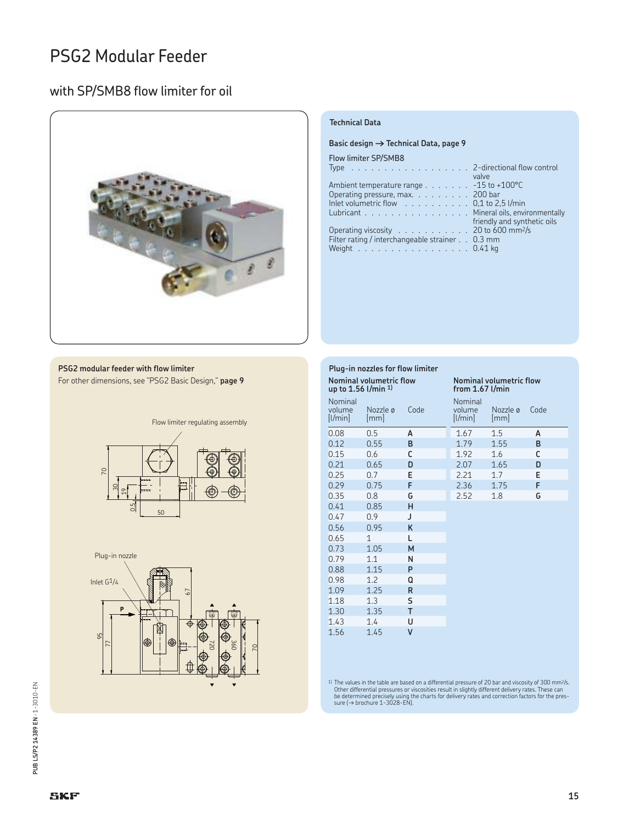### with SP/SMB8 flow limiter for oil



#### **PSG2 modular feeder with flow limiter**

For other dimensions, see "PSG2 Basic Design," **page 9**





| up to 1.56 l/min <sup>1)</sup> | Plug-in nozzles for flow limiter<br><b>Nominal volumetric flow</b> |      | <b>Nominal volumetric flow</b><br>from $1.67$ l/min |                                  |      |  |
|--------------------------------|--------------------------------------------------------------------|------|-----------------------------------------------------|----------------------------------|------|--|
| Nominal<br>volume<br>[1/min]   | Nozzle ø<br>$\lfloor mm \rfloor$                                   | Code | Nominal<br>volume<br>[1/min]                        | Nozzle ø<br>$\lfloor mm \rfloor$ | Code |  |
| 0.08                           | 0.5                                                                | A    | 1.67                                                | 1.5                              | A    |  |
| 0.12                           | 0.55                                                               | B    | 1.79                                                | 1.55                             | B    |  |
| 0.15                           | 0.6                                                                | C    | 1.92                                                | 1.6                              | C    |  |
| 0.21                           | 0.65                                                               | D    | 2.07                                                | 1.65                             | D    |  |
| 0.25                           | 0.7                                                                | E    | 2.21                                                | 1.7                              | E    |  |
| 0.29                           | 0.75                                                               | F    | 2.36                                                | 1.75                             | F    |  |
| 0.35                           | 0.8                                                                | G    | 2.52                                                | 1.8                              | G    |  |
| 0.41                           | 0.85                                                               | н    |                                                     |                                  |      |  |
| 0.47                           | 0.9                                                                | J    |                                                     |                                  |      |  |
| 0.56                           | 0.95                                                               | K    |                                                     |                                  |      |  |
| 0.65                           | 1                                                                  | L    |                                                     |                                  |      |  |
| 0.73                           | 1.05                                                               | M    |                                                     |                                  |      |  |
| 0.79                           | 1.1                                                                | N    |                                                     |                                  |      |  |
| 0.88                           | 1.15                                                               | P    |                                                     |                                  |      |  |
| 0.98                           | 1.2                                                                | Q    |                                                     |                                  |      |  |
| 1.09                           | 1.25                                                               | R    |                                                     |                                  |      |  |
| 1.18                           | 1.3                                                                | S    |                                                     |                                  |      |  |
| 1.30                           | 1.35                                                               | T    |                                                     |                                  |      |  |
| 1.43                           | 1.4                                                                | U    |                                                     |                                  |      |  |
| 1.56                           | 1.45                                                               | V    |                                                     |                                  |      |  |

**Technical Data**

Flow limiter SP/SMB8

**Basic design → Technical Data, page 9** 

Type . . . . . . . . . . . . . . . . . . 2-directional flow control

Lubricant . . . . . . . . . . . . . . . . . . Mineral oils, environmentally

Ambient temperature range . . . . . . . - 15 to +100°C Operating pressure, max. . . . . . . . . . 200 bar Inlet volumetric flow . . . . . . . . . . 0,1 to 2,5 l/min

Operating viscosity . . . . . . . . . . . 20 to 600 mm2/s Filter rating / interchangeable strainer . . 0.3 mm Weight . . . . . . . . . . . . . . . . . 0.41 kg

valve

friendly and synthetic oils

<sup>1)</sup> The values in the table are based on a differential pressure of 20 bar and viscosity of 300 mm<sup>2</sup>/s.<br>Other differential pressures or viscosities result in slightly different delivery rates. These can<br>be determined pr

# PUB LS/P2 14389 EN - 1-3010-EN **PUB LS/P2 14389 EN** · 1-3010-EN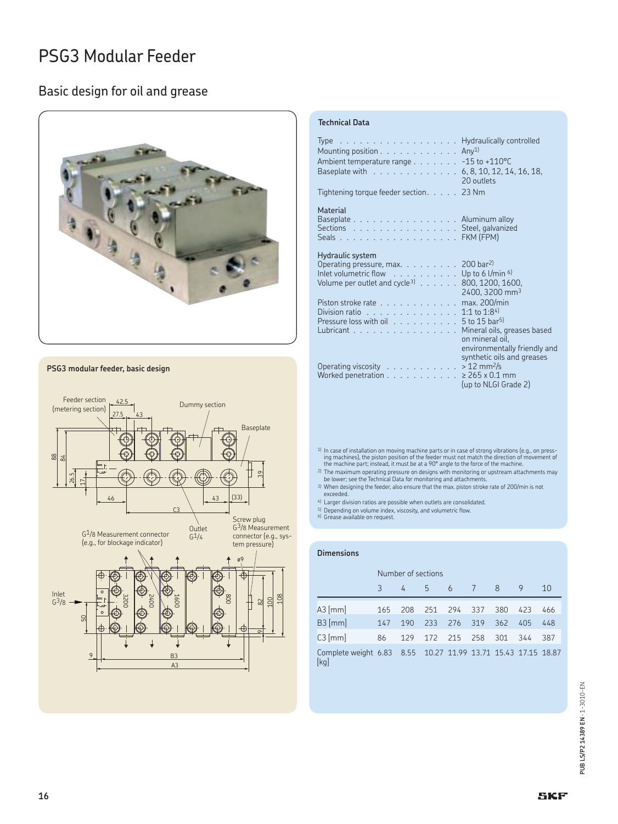### Basic design for oil and grease



#### **PSG3 modular feeder, basic design**



#### **Technical Data**

| Type $\ldots$ $\ldots$ $\ldots$ $\ldots$ $\ldots$ $\ldots$ $\ldots$ . Hydraulically controlled<br>Mounting position $\ldots$ Any <sup>1)</sup><br>Ambient temperature range - 15 to +110°C<br>Baseplate with 6, 8, 10, 12, 14, 16, 18,<br>Tightening torque feeder section. 23 Nm | 20 outlets                                                                                                                              |
|-----------------------------------------------------------------------------------------------------------------------------------------------------------------------------------------------------------------------------------------------------------------------------------|-----------------------------------------------------------------------------------------------------------------------------------------|
| Material<br>Baseplate Aluminum alloy<br>Sections Steel, galvanized<br>Seals FKM (FPM)                                                                                                                                                                                             |                                                                                                                                         |
| Hydraulic system<br>Operating pressure, max. 200 bar <sup>2)</sup><br>Inlet volumetric flow $\ldots$ Up to 6 l/min $6$<br>Volume per outlet and cycle <sup>3)</sup> $\ldots$                                                                                                      | 800, 1200, 1600,<br>2400, 3200 mm <sup>3</sup>                                                                                          |
| Piston stroke rate<br>Division ratio 1:1 to 1:84)<br>Pressure loss with oil $\ldots \ldots \ldots \ldots 5$ to 15 bar <sup>5)</sup><br>Lubricant                                                                                                                                  | max. 200/min<br>Mineral oils, greases based<br>on mineral oil.                                                                          |
| Operating viscosity<br>Worked penetration                                                                                                                                                                                                                                         | environmentally friendly and<br>synthetic oils and greases<br>$>12$ mm <sup>2</sup> /s<br>$> 265 \times 0.1$ mm<br>(up to NLGI Grade 2) |

<sup>1)</sup> In case of installation on moving machine parts or in case of strong vibrations (e.g., on pressing machines), the piston position of the feeder must not match the direction of movement of<br>the machine part; instead, it must be at a 90° angle to the force of the machine.

2) The maximum operating pressure on designs with monitoring or upstream attachments may be lower; see the Technical Data for monitoring and attachments.

3) When designing the feeder, also ensure that the max. piston stroke rate of 200/min is not exceeded.

4) Larger division ratios are possible when outlets are consolidated.

<sup>5)</sup> Depending on volume index, viscosity, and volumetric flow.<br><sup>6)</sup> Grease available on request.

#### **Dimensions**

|                                                                       | Number of sections |     |     |         |     |     |     |     |
|-----------------------------------------------------------------------|--------------------|-----|-----|---------|-----|-----|-----|-----|
|                                                                       | २                  | 4   | -5  | 6 7     |     | 8   | 9   | 10  |
| $A3$ [mm]                                                             | 165                | 208 | 251 | 294     | 337 | 380 | 423 | 466 |
| $B3$ [mm]                                                             | 147                | 190 | 233 | 276 319 |     | 362 | 405 | 448 |
| $C3$ [mm]                                                             | 86                 | 129 | 172 | 215     | 258 | 301 | 344 | 387 |
| Complete weight 6.83 8.55 10.27 11.99 13.71 15.43 17.15 18.87<br>[kg] |                    |     |     |         |     |     |     |     |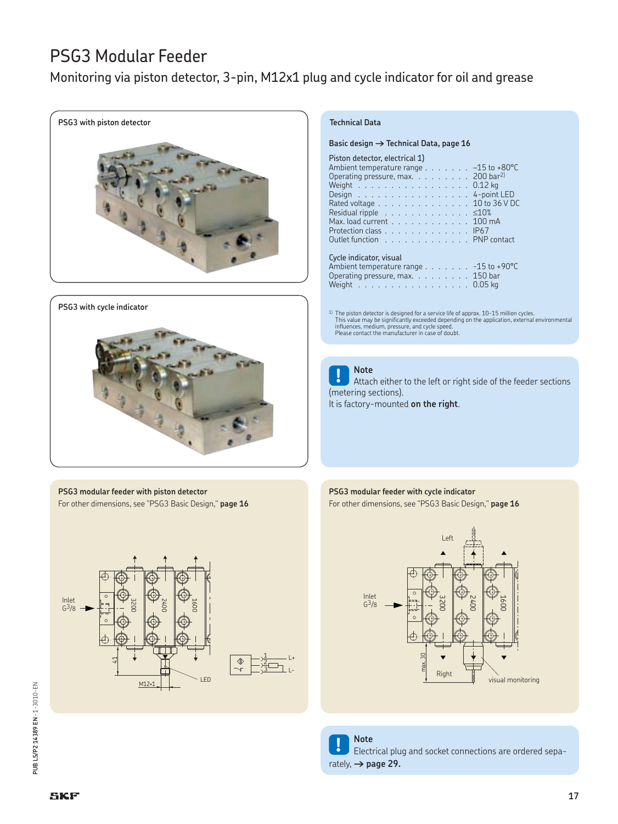Monitoring via piston detector, 3-pin, M12x1 plug and cycle indicator for oil and grease



#### **PSG3 with cycle indicator**



**PSG3 modular feeder with piston detector** For other dimensions, see "PSG3 Basic Design," **page 16**



#### **Technical Data**

**Basic design † Technical Data, page 16**

### Piston detector, electrical 1)

| Ambient temperature range $\ldots \ldots \ldots -15$ to +80°C     |
|-------------------------------------------------------------------|
| Operating pressure, max. $\ldots$ 200 bar <sup>2)</sup>           |
| Weight $\ldots \ldots \ldots \ldots \ldots \ldots 0.12$ kg        |
| Design 4-point LED                                                |
| Rated voltage 10 to 36 V DC                                       |
| Residual ripple $\ldots \ldots \ldots \ldots \ldots$ $\leq 10\%$  |
| Max. load current 100 mA                                          |
| Protection class IP67                                             |
|                                                                   |
| Outlet function PNP contact                                       |
|                                                                   |
| Cycle indicator, visual                                           |
| Ambient temperature range $\ldots \ldots \ldots -15$ to +90 °C    |
| Operating pressure, max. 150 bar                                  |
| Weight $\ldots \ldots \ldots \ldots \ldots \ldots \ldots 0.05$ kg |
|                                                                   |

<sup>1)</sup> The piston detector is designed for a service life of approx. 10-15 million cycles.<br>This value may be significantly exceeded depending on the application, external environmental<br>influences, medium, pressure, and cycle

**! Note** Attach either to the left or right side of the feeder sections (metering sections). It is factory-mounted **on the right**.

### **PSG3 modular feeder with cycle indicator**

For other dimensions, see "PSG3 Basic Design," **page 16**



**! Note** Electrical plug and socket connections are ordered sepa-

rately,  $\rightarrow$  page 29.

**PUB LS/P2 14389 EN** · 1-3010-EN

PUB LS/P2 14389 EN - 1-3010-EN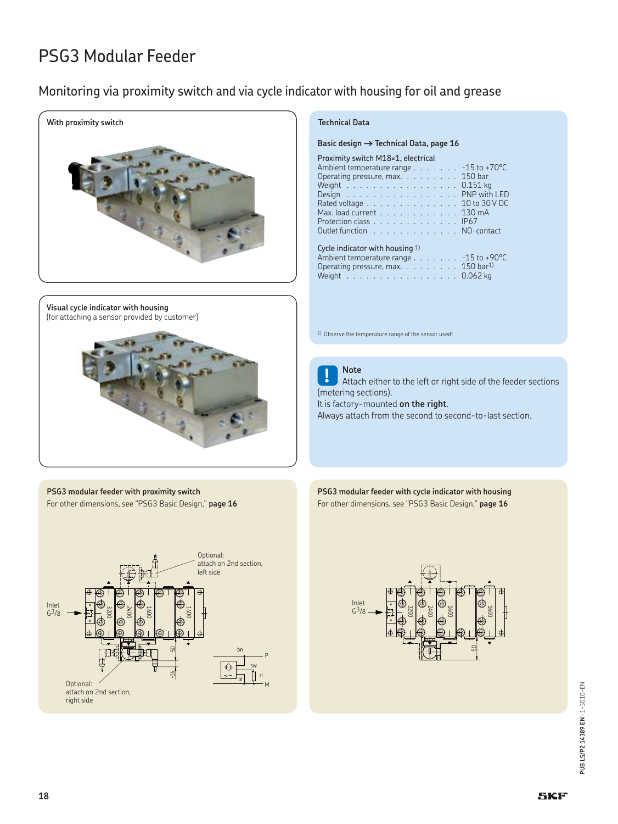### Monitoring via proximity switch and via cycle indicator with housing for oil and grease



**Visual cycle indicator with housing** (for attaching a sensor provided by customer)



**PSG3 modular feeder with proximity switch** For other dimensions, see "PSG3 Basic Design," **page 16**



### **Technical Data**

Basic design  $\rightarrow$  Technical Data, page 16

| Ambient temperature range $\ldots$ -15 to +70 °C                       |                     |  |  |  |  |  |  |
|------------------------------------------------------------------------|---------------------|--|--|--|--|--|--|
| Operating pressure, max. 150 bar                                       |                     |  |  |  |  |  |  |
| Weight $\ldots$ , $\ldots$ , $\ldots$ , $\ldots$ , $\ldots$ , 0.151 kg |                     |  |  |  |  |  |  |
| Design PNP with LED                                                    |                     |  |  |  |  |  |  |
| Rated voltage 10 to 30 V DC                                            |                     |  |  |  |  |  |  |
| Max. load current 130 mA                                               |                     |  |  |  |  |  |  |
| Protection class IP67                                                  |                     |  |  |  |  |  |  |
| Outlet function NO-contact                                             |                     |  |  |  |  |  |  |
|                                                                        |                     |  |  |  |  |  |  |
| Cycle indicator with housing $1$ )                                     |                     |  |  |  |  |  |  |
| Ambiont tomporature range                                              | $-15 + 190^{\circ}$ |  |  |  |  |  |  |

Ambient temperature range . . . . . . . . -15 to +>v<br>Operating pressure. max. . . . . . . . . . 150 bar<sup>1)</sup> Operating pressure, max. . . . . . . . . Weight . . . . . . . . . . . . . . . . . . 0.062 kg

1) Observe the temperature range of the sensor used!



**! Note** Attach either to the left or right side of the feeder sections (metering sections). It is factory-mounted **on the right**.

Always attach from the second to second-to-last section.

**PSG3 modular feeder with cycle indicator with housing** For other dimensions, see "PSG3 Basic Design," **page 16**

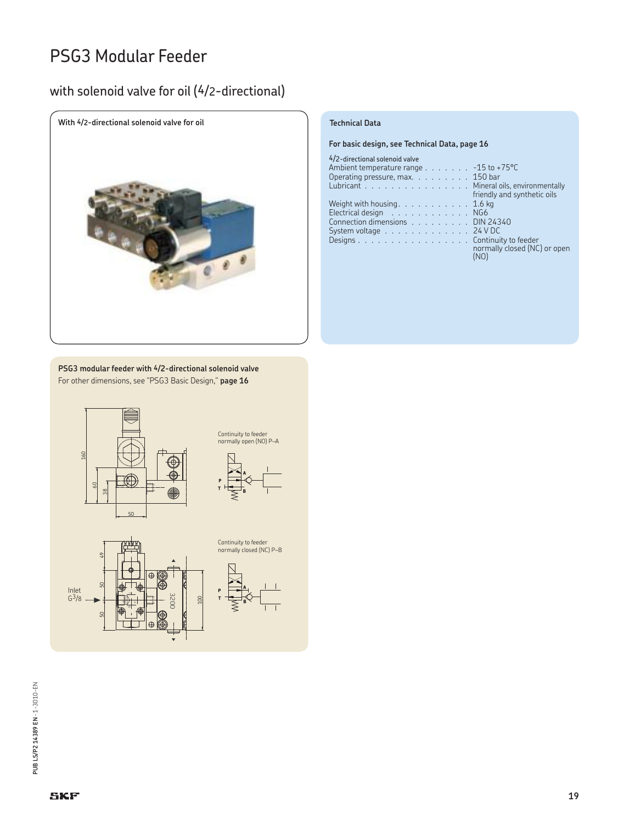### with solenoid valve for oil (4/2-directional)



**For basic design, see Technical Data, page 16**

| 4/2-directional solenoid valve                                 |
|----------------------------------------------------------------|
| Ambient temperature range $\ldots \ldots \ldots -15$ to +75 °C |
| Operating pressure, max. 150 bar                               |
| Lubricant Mineral oils, environmentally                        |
| friendly and synthetic oils                                    |
| Weight with housing. $\ldots$ 1.6 kg                           |
| Electrical design NG6                                          |
| Connection dimensions DIN 24340                                |
| System voltage $\ldots \ldots \ldots \ldots \ldots$ 24 V DC    |
| Designs Continuity to feeder<br>normally closed (NC) or open   |

**PSG3 modular feeder with 4/2-directional solenoid valve** For other dimensions, see "PSG3 Basic Design," **page 16**



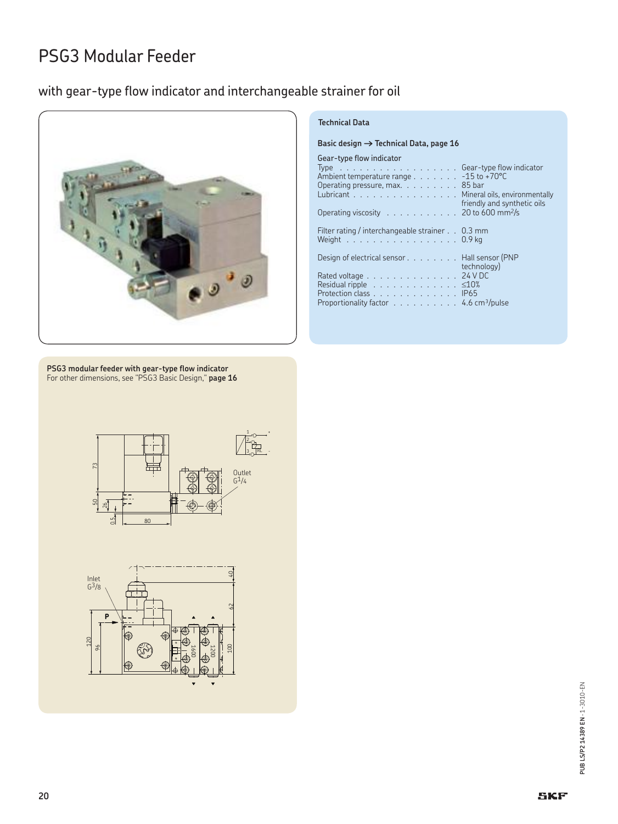### with gear-type flow indicator and interchangeable strainer for oil



### **Technical Data**

|  |  | Basic design $\rightarrow$ Technical Data, page 16 |  |  |
|--|--|----------------------------------------------------|--|--|
|  |  |                                                    |  |  |

### Gear-type flow indicator

| Type Gear-type flow indicator<br>Ambient temperature range - 15 to +70°C<br>Operating pressure, max. $\ldots$ 85 bar<br>Lubricant Mineral oils, environmentally<br>Operating viscosity 20 to 600 mm <sup>2</sup> /s                               | friendly and synthetic oils |
|---------------------------------------------------------------------------------------------------------------------------------------------------------------------------------------------------------------------------------------------------|-----------------------------|
| Filter rating / interchangeable strainer 0.3 mm<br>Weight $\ldots \ldots \ldots \ldots \ldots \ldots 0.9$ kg                                                                                                                                      |                             |
| Design of electrical sensor Hall sensor (PNP<br>Rated voltage 24 V DC<br>Residual ripple $\ldots \ldots \ldots \ldots \ldots$ $\leq 10\%$<br>Protection class IP65<br>Proportionality factor $\dots \dots \dots \dots 4.6$ cm <sup>3</sup> /pulse | technology)                 |

**PSG3 modular feeder with gear-type flow indicator** For other dimensions, see "PSG3 Basic Design," **page 16**



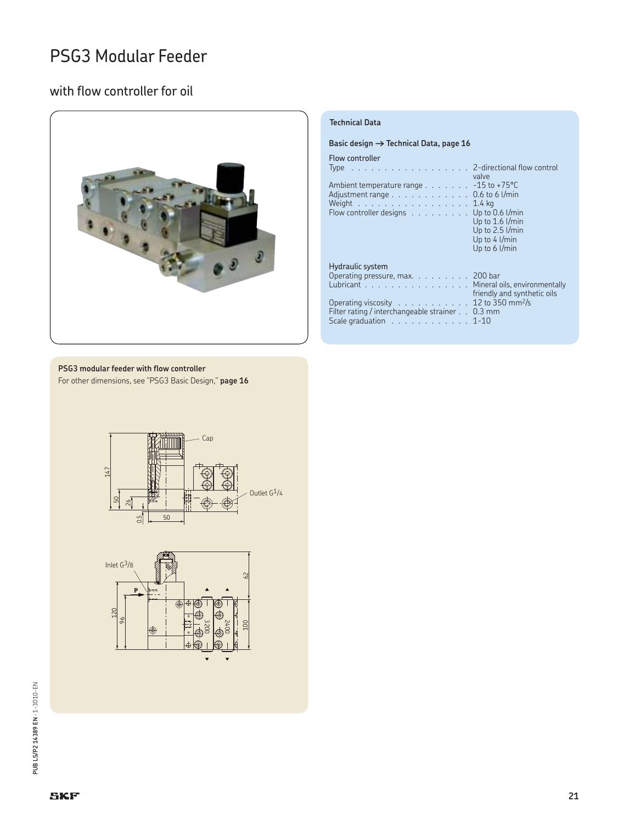### with flow controller for oil



#### **Technical Data**

#### Basic design  $\rightarrow$  Technical Data, page 16

Flow controller

| Type 2-directional flow control<br>Ambient temperature range - 15 to +75°C<br>Adjustment range $\ldots \ldots \ldots \ldots \ldots$ 0.6 to 6 l/min<br>Weight $\ldots \ldots \ldots \ldots \ldots \ldots 1.4$ kg<br>Flow controller designs                                                           | valve<br>Up to 0.6 l/min<br>Up to 1.6 l/min<br>Up to 2.5 l/min<br>Up to $4$ $1/min$<br>Up to $6$ I/min |
|------------------------------------------------------------------------------------------------------------------------------------------------------------------------------------------------------------------------------------------------------------------------------------------------------|--------------------------------------------------------------------------------------------------------|
| Hydraulic system<br>Operating pressure, max. $\ldots$ 200 bar<br>Lubricant Mineral oils, environmentally<br>Operating viscosity $\ldots \ldots \ldots \ldots 12$ to 350 mm <sup>2</sup> /s<br>Filter rating / interchangeable strainer 0.3 mm<br>Scale graduation $\ldots \ldots \ldots \ldots 1-10$ | friendly and synthetic oils                                                                            |

#### **PSG3 modular feeder with flow controller** For other dimensions, see "PSG3 Basic Design," **page 16**



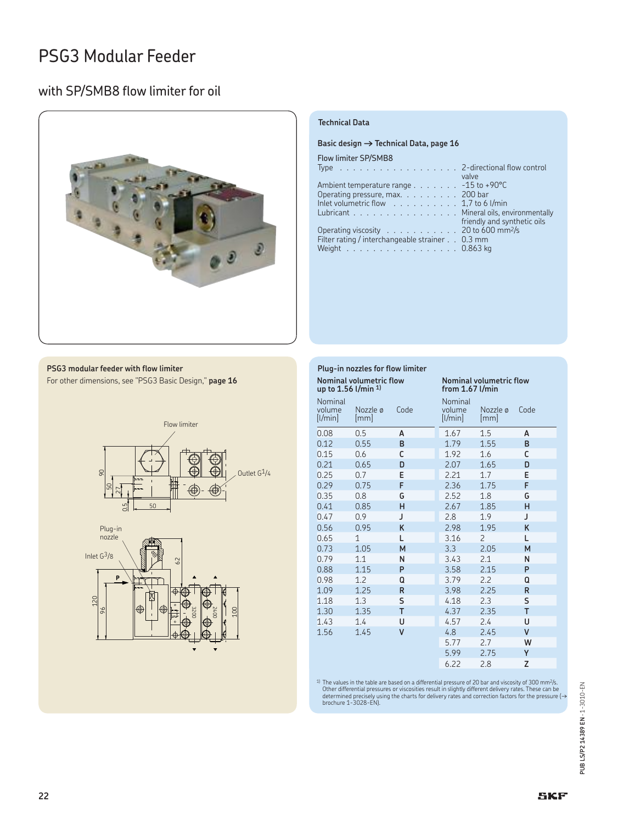### with SP/SMB8 flow limiter for oil



### **Technical Data**

#### Basic design  $\rightarrow$  Technical Data, page 16

### Flow limiter SP/SMB8

| Type $\ldots$ 2-directional flow control                           |                             |
|--------------------------------------------------------------------|-----------------------------|
|                                                                    | valve                       |
| Ambient temperature range $\ldots$ -15 to +90 °C                   |                             |
| Operating pressure, max. 200 bar                                   |                             |
| Inlet volumetric flow $\ldots \ldots \ldots \ldots 1,7$ to 6 l/min |                             |
| Lubricant Mineral oils, environmentally                            |                             |
|                                                                    | friendly and synthetic oils |
| Operating viscosity 20 to 600 mm <sup>2</sup> /s                   |                             |
| Filter rating / interchangeable strainer 0.3 mm                    |                             |
| Weight 0.863 kg                                                    |                             |
|                                                                    |                             |

**PSG3 modular feeder with flow limiter** For other dimensions, see "PSG3 Basic Design," **page 16**





| Plug-in nozzles for flow limiter |                                                              |      |                                              |                 |              |  |
|----------------------------------|--------------------------------------------------------------|------|----------------------------------------------|-----------------|--------------|--|
|                                  | Nominal volumetric flow<br>up to 1.56 $1$ /min <sup>1)</sup> |      | Nominal volumetric flow<br>from $1.67$ l/min |                 |              |  |
| Nominal<br>volume<br>[1/min]     | Nozzle ø<br>[mm]                                             | Code | Nominal<br>volume<br>[1/min]                 | Nozzle ø<br> mm | Code         |  |
| 0.08                             | 0.5                                                          | A    | 1.67                                         | 1.5             | A            |  |
| 0.12                             | 0.55                                                         | B    | 1.79                                         | 1.55            | B            |  |
| 0.15                             | 0.6                                                          | C    | 1.92                                         | 1.6             | C            |  |
| 0.21                             | 0.65                                                         | D    | 2.07                                         | 1.65            | D            |  |
| 0.25                             | 0.7                                                          | E    | 2.21                                         | 1.7             | E            |  |
| 0.29                             | 0.75                                                         | F    | 2.36                                         | 1.75            | F            |  |
| 0.35                             | 0.8                                                          | G    | 2.52                                         | 1.8             | G            |  |
| 0.41                             | 0.85                                                         | н    | 2.67                                         | 1.85            | н            |  |
| 0.47                             | 0.9                                                          | J    | 2.8                                          | 1.9             | J            |  |
| 0.56                             | 0.95                                                         | K    | 2.98                                         | 1.95            | K            |  |
| 0.65                             | 1                                                            | L    | 3.16                                         | 2               | L            |  |
| 0.73                             | 1.05                                                         | M    | 3.3                                          | 2.05            | M            |  |
| 0.79                             | 1.1                                                          | N    | 3.43                                         | 2.1             | N            |  |
| 0.88                             | 1.15                                                         | P    | 3.58                                         | 2.15            | P            |  |
| 0.98                             | 1.2                                                          | Q    | 3.79                                         | 2.2             | Q            |  |
| 1.09                             | 1.25                                                         | R    | 3.98                                         | 2.25            | R            |  |
| 1.18                             | 1.3                                                          | S    | 4.18                                         | 2.3             | S            |  |
| 1.30                             | 1.35                                                         | T    | 4.37                                         | 2.35            | T            |  |
| 1.43                             | 1.4                                                          | U    | 4.57                                         | 2.4             | U            |  |
| 1.56                             | 1.45                                                         | V    | 4.8                                          | 2.45            | $\mathsf{V}$ |  |
|                                  |                                                              |      | 5.77                                         | 2.7             | W            |  |
|                                  |                                                              |      | 5.99                                         | 2.75            | Y            |  |
|                                  |                                                              |      | 6.22                                         | 2.8             | Z            |  |

<sup>1)</sup> The values in the table are based on a differential pressure of 20 bar and viscosity of 300 mm<sup>2</sup>/s.<br>Other differential pressures or viscosities result in slightly different delivery rates. These can be<br>determined pr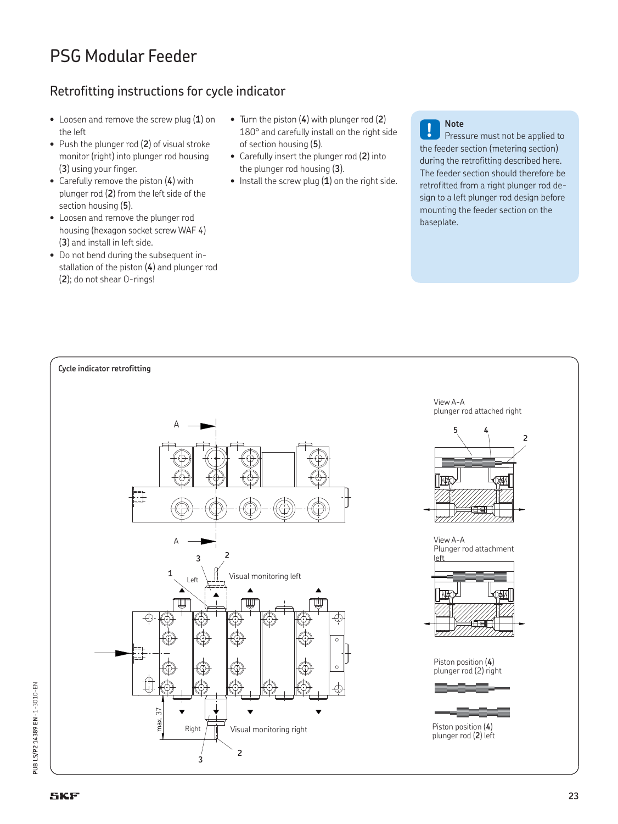### Retrofitting instructions for cycle indicator

- Loosen and remove the screw plug (**1**) on the left
- Push the plunger rod (**2**) of visual stroke monitor (right) into plunger rod housing (**3**) using your finger.
- Carefully remove the piston (**4**) with plunger rod (**2**) from the left side of the section housing (**5**).
- Loosen and remove the plunger rod housing (hexagon socket screw WAF 4) (**3**) and install in left side.
- Do not bend during the subsequent installation of the piston (**4**) and plunger rod (**2**); do not shear O-rings!
- Turn the piston (**4**) with plunger rod (**2**) 180° and carefully install on the right side of section housing (**5**).
- Carefully insert the plunger rod (**2**) into the plunger rod housing (**3**).
- Install the screw plug (**1**) on the right side.

**! Note** Pressure must not be applied to the feeder section (metering section) during the retrofitting described here. The feeder section should therefore be retrofitted from a right plunger rod design to a left plunger rod design before mounting the feeder section on the baseplate.

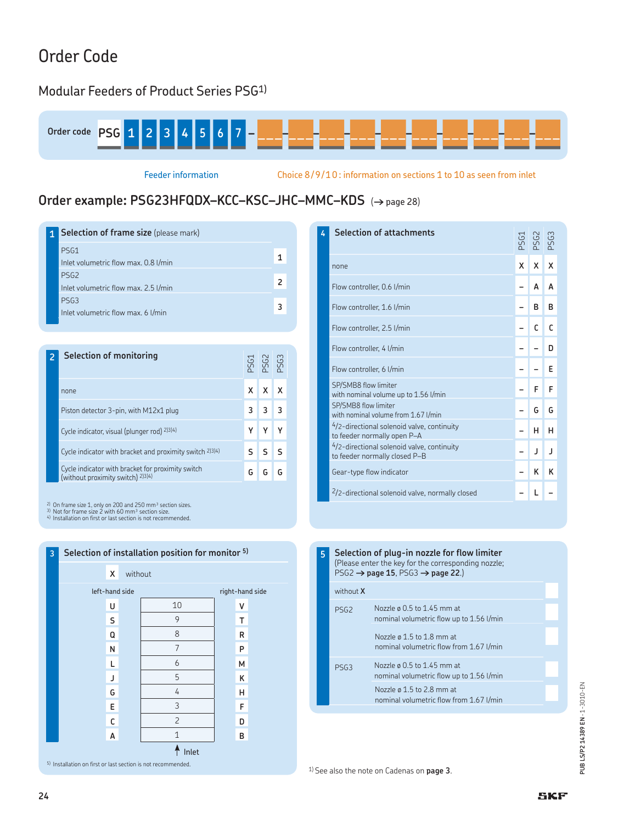## Order Code

### Modular Feeders of Product Series PSG1)



Feeder information Choice 8/9/10 : information on sections 1 to 10 as seen from inlet

### **Order example: PSG23HFQDX–KCC–KSC–JHC–MMC–KDS** (**†** page 28)

**1 Selection of frame size** (please mark) PSG1 Inlet volumetric flow max. 0.8 l/min **1** PSG2 Inlet volumetric flow max. 2.5 l/min **2**<br> **2** Inlet volumetric flow max. 2.5 l/min PSG3 Inlet volumetric flow max. 6 l/min **3**<br>Inlet volumetric flow max. 6 l/min **2 Selection of monitoring** PSG1 PSG2 PSG3 none **XXXX** Piston detector 3-pin, with M12x1 plug **3333** 3 Cycle indicator, visual (plunger rod) <sup>2)3)4)</sup> **Y Y Y Y** Cycle indicator with bracket and proximity switch 2)3)4) **SSS** Cycle indicator with bracket for proximity switch Lycle indicator with bracket for proximity switch<br>(without proximity switch) <sup>2)3)4)</sup>

<sup>2)</sup> On frame size 1, only on 200 and 250 mm<sup>3</sup> section sizes.<br><sup>3)</sup> Not for frame size 2 with 60 mm<sup>3</sup> section size.<br><sup>4)</sup> Installation on first or last section is not recommended.



| 4 | <b>Selection of attachments</b>                                             | <b>PSG1</b> | <b>PSG2</b> |              |
|---|-----------------------------------------------------------------------------|-------------|-------------|--------------|
|   | none                                                                        | x           | x           | X            |
|   | Flow controller, 0.6 l/min                                                  |             | A           | A            |
|   | Flow controller, 1.6 l/min                                                  |             | в           | в            |
|   | Flow controller, 2.5 l/min                                                  |             | C           | C            |
|   | Flow controller, 4 l/min                                                    |             |             | D            |
|   | Flow controller, 6 l/min                                                    |             |             | F            |
|   | SP/SMB8 flow limiter<br>with nominal volume up to 1.56 l/min                |             | F           | F            |
|   | SP/SMB8 flow limiter<br>with nominal volume from 1.67 l/min                 |             | G           | G            |
|   | 4/2-directional solenoid valve, continuity<br>to feeder normally open P-A   |             | н           | н            |
|   | 4/2-directional solenoid valve, continuity<br>to feeder normally closed P-B |             | J           | $\mathbf{I}$ |
|   | Gear-type flow indicator                                                    |             | ĸ           | ĸ            |
|   | <sup>2</sup> /2-directional solenoid valve, normally closed                 |             |             |              |

**5 Selection of plug-in nozzle for flow limiter** (Please enter the key for the corresponding nozzle; PSG2 **† page 15**, PSG3 **† page 22**.) without **X** PSG2 Nozzle ø 0.5 to 1.45 mm at nominal volumetric flow up to 1.56 l/min Nozzle ø 1.5 to 1.8 mm at nominal volumetric flow from 1.67 l/min PSG3 Nozzle ø 0.5 to 1.45 mm at nominal volumetric flow up to 1.56 l/min Nozzle ø 1.5 to 2.8 mm at nominal volumetric flow from 1.67 l/min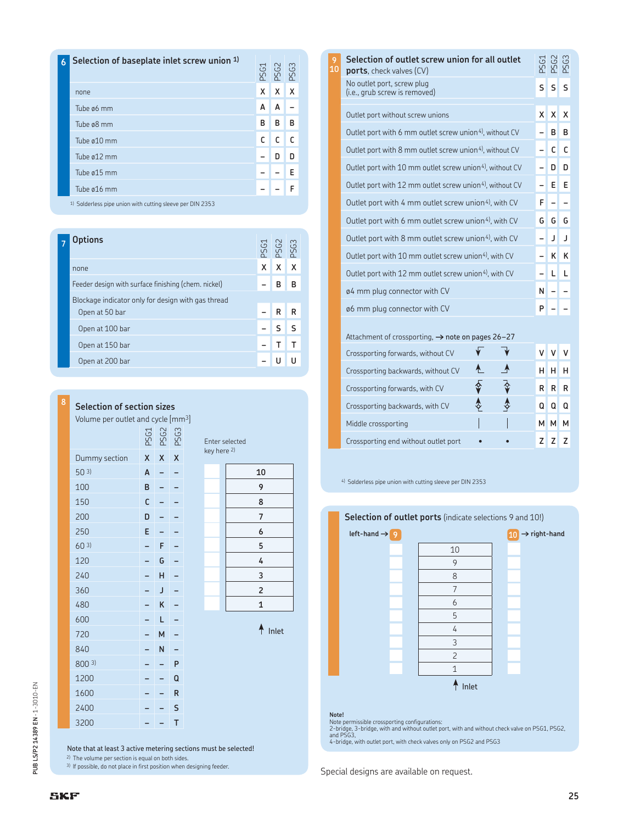| 6 | Selection of baseplate inlet screw union 1)          |   | PS G3<br>PS G3<br>PS G3 |   |
|---|------------------------------------------------------|---|-------------------------|---|
|   | none                                                 | X | Χ                       | X |
|   | Tube ø6 mm                                           | A | A                       |   |
|   | Tube ø8 mm                                           | B | В                       | В |
|   | Tube ø10 mm                                          | C | C                       |   |
|   | Tube ø12 mm                                          |   | D                       | n |
|   | Tube ø15 mm                                          |   |                         | E |
|   | Tube ø16 mm                                          |   |                         |   |
|   | 1) Caldedon alan matematik muliga alama ang DIN 2252 |   |                         |   |

1) Solderless pipe union with cutting sleeve per DIN 2353

| ptions                                              |   | PS G1<br>PS G2<br>PS G3 |   |
|-----------------------------------------------------|---|-------------------------|---|
| none                                                | х | X                       | X |
| Feeder design with surface finishing (chem. nickel) |   | в                       | в |
| Blockage indicator only for design with gas thread  |   |                         |   |
| Open at 50 bar                                      |   | R                       | R |
| Open at 100 bar                                     |   |                         |   |
| Open at 150 bar                                     |   |                         |   |
| Open at 200 bar                                     |   |                         |   |

**<sup>8</sup> Selection of section sizes** Volume per outlet and cycle [mm3] PSG1<br>PSG2<br>PSG3 Dummy section **XXX** 50 3) **A – – 10** 100 **B–– 9** 150 **C–– 8** 200 **D–– 7** 250 **E–– 6** 60 3) **–F– 5** 120 **–G– 4** 240 **–H– 3** 360 **–J– 2** 480 **–K– 1** 600 **–L–** 720 **–M–** 840 **–N–**

| here <sup>z)</sup>      |  |  |  |
|-------------------------|--|--|--|
| 10                      |  |  |  |
| 9                       |  |  |  |
| 8                       |  |  |  |
| 7                       |  |  |  |
| 6                       |  |  |  |
| 5                       |  |  |  |
| 4                       |  |  |  |
| 3                       |  |  |  |
| $\overline{\mathbf{c}}$ |  |  |  |
| 1                       |  |  |  |

Enter selected key

 $A$  Inlet

|  | 1200                                                       |  |   |
|--|------------------------------------------------------------|--|---|
|  | 1600                                                       |  | R |
|  | 2400                                                       |  |   |
|  | 3200                                                       |  |   |
|  |                                                            |  |   |
|  | Note that at least 3 active metering se                    |  |   |
|  | <sup>2</sup> ) The volume per section is equal on both sig |  |   |

| Note that at least 3 active metering sections must be selected! |  |  |  |
|-----------------------------------------------------------------|--|--|--|
|                                                                 |  |  |  |

The volume per section is equal on both sides.

800 3) **––P**

3) If possible, do not place in first position when designing feeder.

| 9<br>10 | Selection of outlet screw union for all outlet<br><b>ports</b> , check valves (CV) |              |              | <b>PSG3</b> |
|---------|------------------------------------------------------------------------------------|--------------|--------------|-------------|
|         | No outlet port, screw plug<br>(i.e., grub screw is removed)                        | S            | S            | S           |
|         | Outlet port without screw unions                                                   | $\mathsf{x}$ | x            | x           |
|         | Outlet port with 6 mm outlet screw union <sup>4)</sup> , without CV                |              | в            | B           |
|         | Outlet port with 8 mm outlet screw union <sup>4)</sup> , without CV                |              | C            | C           |
|         | Outlet port with 10 mm outlet screw union <sup>4)</sup> , without CV               |              | D            | D           |
|         | Outlet port with 12 mm outlet screw union <sup>4)</sup> , without CV               |              | Е            | E           |
|         | Outlet port with 4 mm outlet screw union <sup>4</sup> ), with CV                   | F            |              |             |
|         | Outlet port with 6 mm outlet screw union <sup>4</sup> , with CV                    | G.           | G            | G           |
|         | Outlet port with 8 mm outlet screw union <sup>4)</sup> , with CV                   |              | $\mathbf{I}$ | J           |
|         | Outlet port with 10 mm outlet screw union <sup>4)</sup> , with CV                  |              | к            | ĸ           |
|         | Outlet port with 12 mm outlet screw union <sup>4</sup> , with CV                   |              | L            | L           |
|         | 04 mm plug connector with CV                                                       | Ν            |              |             |
|         | 06 mm plug connector with CV                                                       | P            |              |             |
|         |                                                                                    |              |              |             |

Attachment of crossporting, **†** note on pages 26–27

| Crossporting forwards, without CV    |  |    |   |         |
|--------------------------------------|--|----|---|---------|
| Crossporting backwards, without CV   |  |    | H | H       |
| Crossporting forwards, with CV       |  | R. |   | $R$ $R$ |
| Crossporting backwards, with CV      |  |    |   |         |
| Middle crossporting                  |  |    |   |         |
| Crossporting end without outlet port |  |    |   |         |

4) Solderless pipe union with cutting sleeve per DIN 2353

### **Selection of outlet ports** (indicate selections 9 and 10!)



**Note!**<br>Note permissible crossporting configurations:<br>2-bridge, 3-bridge, with and without outlet port, with and without check valve on PSG1, PSG2,<br>and PSG3,<br>4-bridge, with outlet port, with check valves only on PSG2 and P

Special designs are available on request.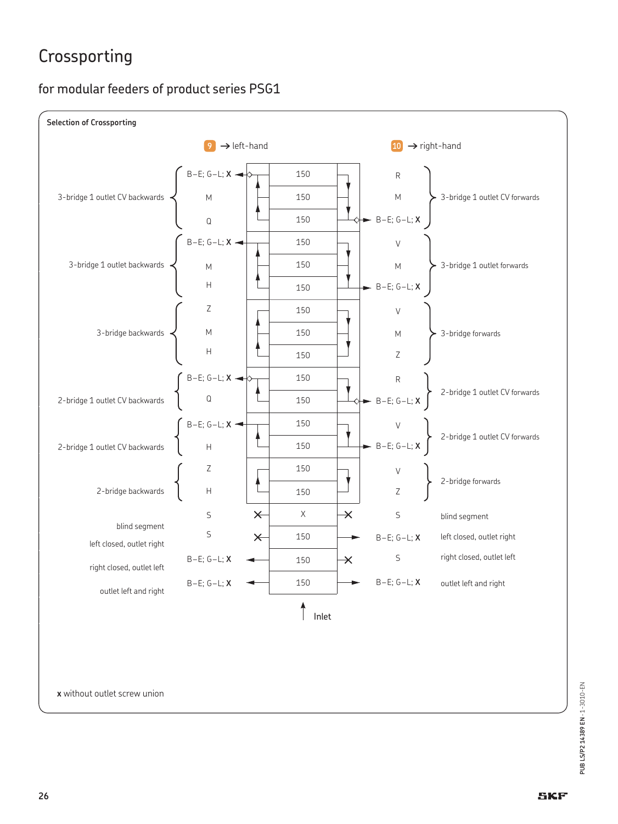## Crossporting

### for modular feeders of product series PSG1



**x** without outlet screw union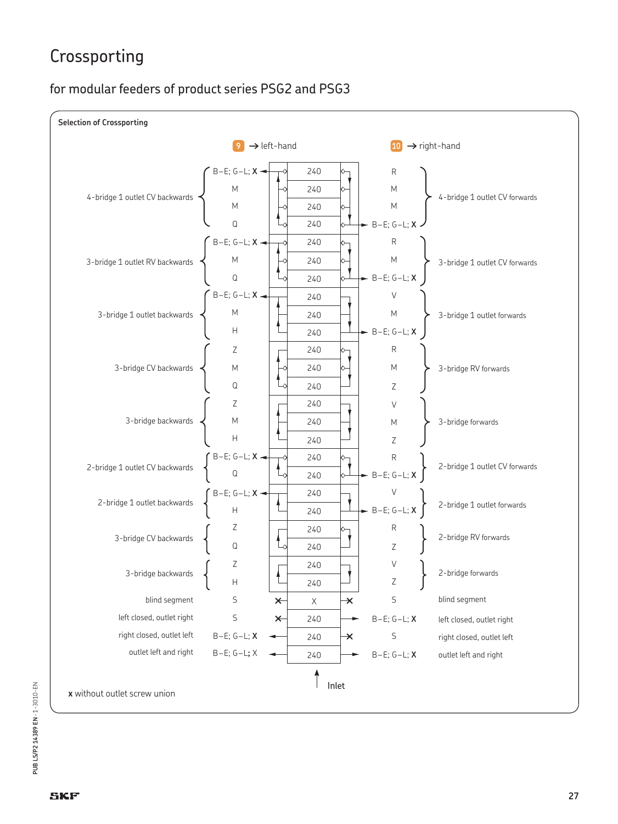## Crossporting

### for modular feeders of product series PSG2 and PSG3

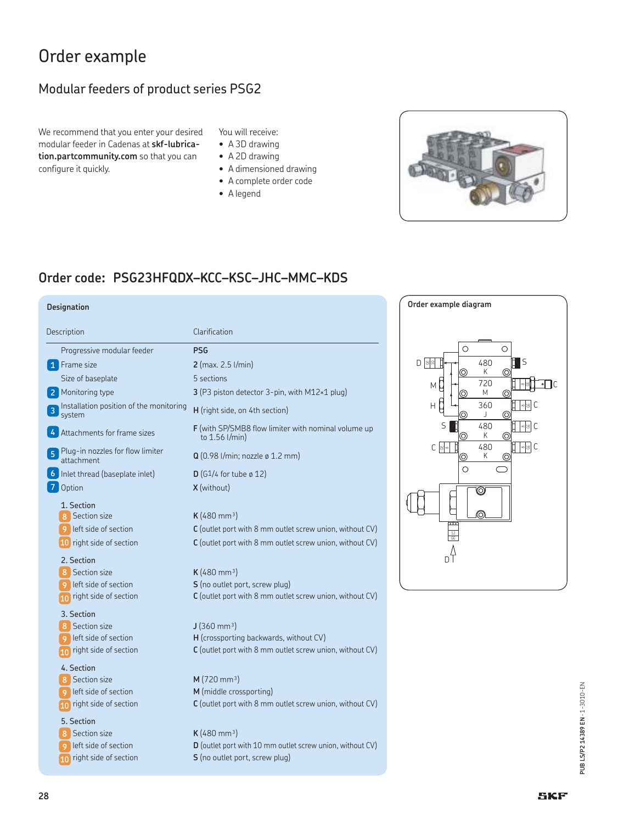### Order example

### Modular feeders of product series PSG2

We recommend that you enter your desired modular feeder in Cadenas at **skf-lubrication.partcommunity.com** so that you can configure it quickly.

- You will receive:
- A 3D drawing
- A 2D drawing
- A dimensioned drawing
- A complete order code
- A legend



### **Order code: PSG23HFQDX–KCC–KSC–JHC–MMC–KDS**

#### **Designation Order example diagram** Description **Clarification** Progressive modular feeder **PSG 2** (max. 2.5 l/min) Size of baseplate 5 sections 3 (P3 piston detector 3-pin, with M12×1 plug) Installation position of the monitoring **H** (right side, on 4th section) **F** (with SP/SMB8 flow limiter with nominal volume up to 1.56 l/min) Plug-in nozzles for flow limiter **5** attachment **<sup>Q</sup>** (0.98 l/min; nozzle ø 1.2 mm) Inlet thread (baseplate inlet) **D** (G1/4 for tube ø 12) **6 X** (without) 1. Section **K** (480 mm<sup>3</sup>) C (outlet port with 8 mm outlet screw union, without CV) **C** (outlet port with 8 mm outlet screw union, without CV) 2. Section  $K$  (480 mm<sup>3</sup>) **S** (no outlet port, screw plug) **C** (outlet port with 8 mm outlet screw union, without CV) 3. Section  $J(360 \text{ mm}^3)$ left side of section **H** (crossporting backwards, without CV) **C** (outlet port with 8 mm outlet screw union, without CV) 4. Section **M** (720 mm<sup>3</sup>) left side of section **M** (middle crossporting) **C** (outlet port with 8 mm outlet screw union, without CV) 5. Section  $K$  (480 mm<sup>3</sup>) left side of section **D** (outlet port with 10 mm outlet screw union, without CV) **1** Frame size **2** Monitoring type **3** 4 Attachments for frame sizes **7** Option **8** Section size **9** left side of section **10** right side of section 8 Section size **9** left side of section **10** right side of section **8** Section size **10** right side of section **8** Section size **9 10** right side of section **8** Section size **9**

**S** (no outlet port, screw plug)



**10** right side of section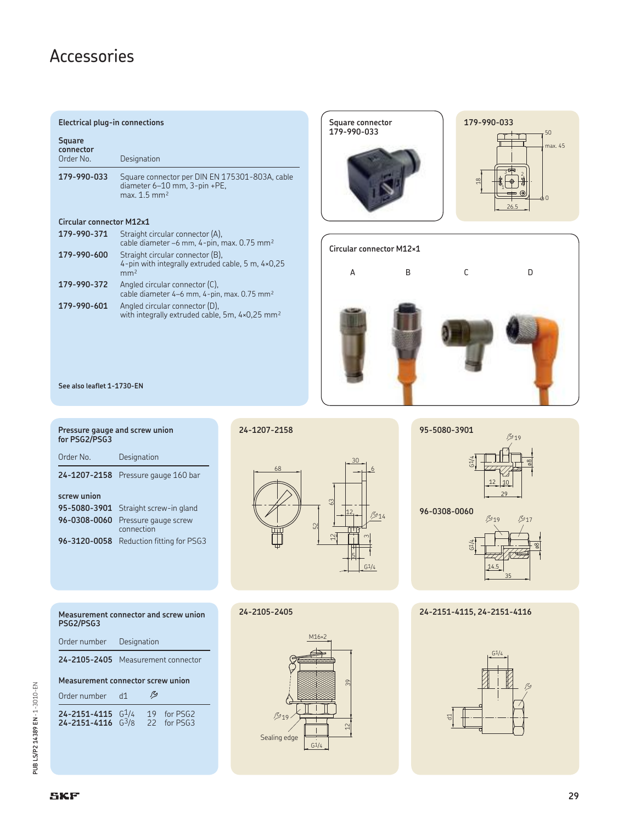### Accessories

#### **Electrical plug-in connections**

| Square<br>connector<br>Order No. | Designation                                                                                                  |
|----------------------------------|--------------------------------------------------------------------------------------------------------------|
| 179-990-033                      | Square connector per DIN EN 175301-803A, cable<br>diameter 6-10 mm, 3-pin +PE,<br>$max. 1.5$ mm <sup>2</sup> |

### **Circular connector M12x1**

| 179-990-371 | Straight circular connector (A),<br>cable diameter -6 mm, 4-pin, max. 0.75 mm <sup>2</sup>               |
|-------------|----------------------------------------------------------------------------------------------------------|
| 179-990-600 | Straight circular connector (B),<br>4-pin with integrally extruded cable, 5 m, 4×0,25<br>mm <sup>2</sup> |
| 179-990-372 | Angled circular connector (C),<br>cable diameter 4-6 mm, 4-pin, max. 0.75 mm <sup>2</sup>                |
| 179-990-601 | Angled circular connector (D),<br>with integrally extruded cable, 5m, 4×0,25 mm <sup>2</sup>             |





**See also leaflet 1-1730-EN**

| Pressure gauge and screw union<br>for PSG2/PSG3 |  |  |  |  |  |  |  |  |
|-------------------------------------------------|--|--|--|--|--|--|--|--|
| Designation                                     |  |  |  |  |  |  |  |  |
| 24-1207-2158 Pressure gauge 160 bar             |  |  |  |  |  |  |  |  |
|                                                 |  |  |  |  |  |  |  |  |
| Straight screw-in gland                         |  |  |  |  |  |  |  |  |
| Pressure gauge screw<br>connection              |  |  |  |  |  |  |  |  |
| Reduction fitting for PSG3                      |  |  |  |  |  |  |  |  |
|                                                 |  |  |  |  |  |  |  |  |

**Measurement connector and screw union**

**24-2105-2405** Measurement connector

**Measurement connector screw union**

**24-2151-4115** G1/4 19 for PSG2 **24-2151-4116** G3/8 22 for PSG3

Order number Designation

Order number d1  $\frac{1}{2}$ 

**24-1207-2158**



#### **24-2105-2405**





**96-0308-0060**



**24-2151-4115, 24-2151-4116**



**PSG2/PSG3**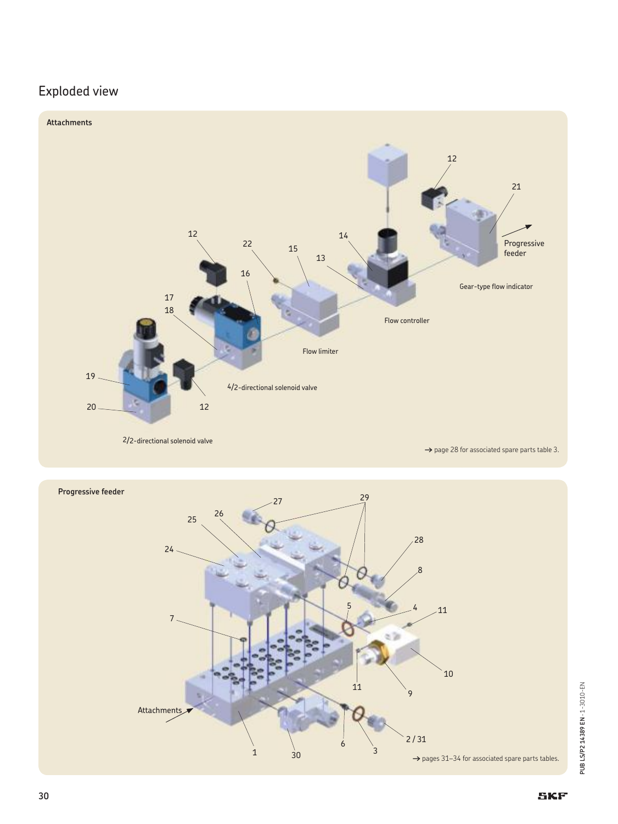### Exploded view



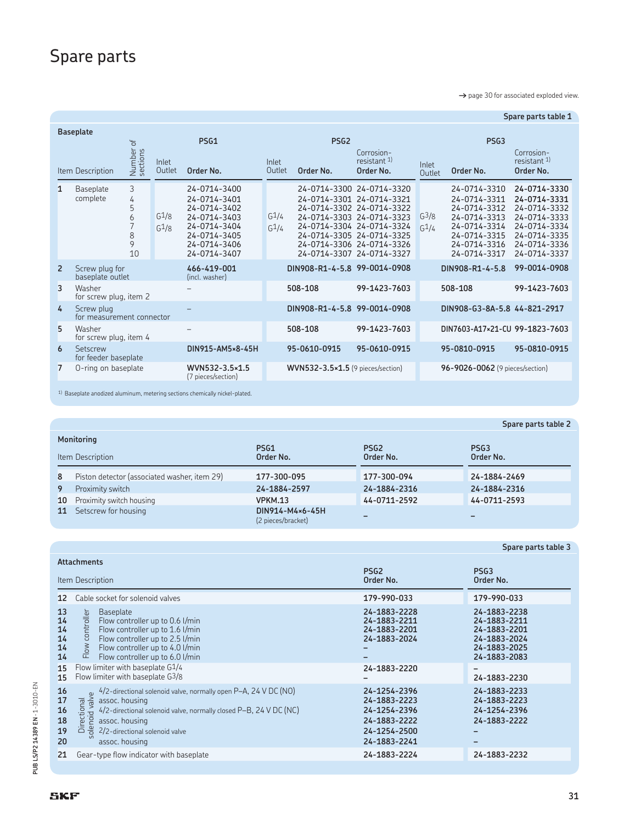### Spare parts

→ page 30 for associated exploded view.

|                |                                         |                                    |                              |                                                                                                                              |                              |                                                                                     |                                                                                                                                               |                              |                                                                                                                              | Spare parts table 1                                                                                                          |
|----------------|-----------------------------------------|------------------------------------|------------------------------|------------------------------------------------------------------------------------------------------------------------------|------------------------------|-------------------------------------------------------------------------------------|-----------------------------------------------------------------------------------------------------------------------------------------------|------------------------------|------------------------------------------------------------------------------------------------------------------------------|------------------------------------------------------------------------------------------------------------------------------|
|                | <b>Baseplate</b><br>Item Description    | $\mathbf{b}$<br>Number<br>sections | Inlet<br>Outlet              | PSG1<br>Order No.                                                                                                            | Inlet<br>Outlet              | PSG <sub>2</sub><br>Order No.                                                       | Corrosion-<br>resistant <sup>1)</sup><br>Order No.                                                                                            | Inlet<br>Outlet              | PSG <sub>3</sub><br>Order No.                                                                                                | Corrosion-<br>resistant $1$ )<br>Order No.                                                                                   |
| $\mathbf{1}$   | Baseplate<br>complete                   | 3<br>4<br>5<br>6<br>8<br>9<br>10   | $G^1/8$<br>G <sup>1</sup> /8 | 24-0714-3400<br>24-0714-3401<br>24-0714-3402<br>24-0714-3403<br>24-0714-3404<br>24-0714-3405<br>24-0714-3406<br>24-0714-3407 | $G^{\frac{1}{4}}$<br>$G_1/4$ | 24-0714-3301 24-0714-3321<br>24-0714-3305 24-0714-3325<br>24-0714-3307 24-0714-3327 | 24-0714-3300 24-0714-3320<br>24-0714-3302 24-0714-3322<br>24-0714-3303 24-0714-3323<br>24-0714-3304 24-0714-3324<br>24-0714-3306 24-0714-3326 | $G^3/8$<br>G <sup>1</sup> /4 | 24-0714-3310<br>24-0714-3311<br>24-0714-3312<br>24-0714-3313<br>24-0714-3314<br>24-0714-3315<br>24-0714-3316<br>24-0714-3317 | 24-0714-3330<br>24-0714-3331<br>24-0714-3332<br>24-0714-3333<br>24-0714-3334<br>24-0714-3335<br>24-0714-3336<br>24-0714-3337 |
| $\overline{2}$ | Screw plug for<br>baseplate outlet      |                                    |                              | 466-419-001<br>(incl. washer)                                                                                                |                              | DIN908-R1-4-5.8 99-0014-0908                                                        |                                                                                                                                               |                              | DIN908-R1-4-5.8                                                                                                              | 99-0014-0908                                                                                                                 |
| 3              | Washer<br>for screw plug, item 2        |                                    |                              |                                                                                                                              |                              | 508-108                                                                             | 99-1423-7603                                                                                                                                  |                              | 508-108                                                                                                                      | 99-1423-7603                                                                                                                 |
| 4              | Screw plug<br>for measurement connector |                                    |                              |                                                                                                                              |                              | DIN908-R1-4-5.8 99-0014-0908                                                        |                                                                                                                                               |                              | DIN908-G3-8A-5.8 44-821-2917                                                                                                 |                                                                                                                              |
| 5              | Washer<br>for screw plug, item 4        |                                    |                              |                                                                                                                              |                              | 508-108                                                                             | 99-1423-7603                                                                                                                                  |                              | DIN7603-A17×21-CU 99-1823-7603                                                                                               |                                                                                                                              |
| 6              | Setscrew<br>for feeder baseplate        |                                    |                              | DIN915-AM5×8-45H                                                                                                             |                              | 95-0610-0915                                                                        | 95-0610-0915                                                                                                                                  |                              | 95-0810-0915                                                                                                                 | 95-0810-0915                                                                                                                 |
| $\overline{7}$ | O-ring on baseplate                     |                                    |                              | WVN532-3.5×1.5<br>(7 pieces/section)                                                                                         |                              | $WWN532-3.5*1.5$ (9 pieces/section)                                                 |                                                                                                                                               |                              | 96-9026-0062 (9 pieces/section)                                                                                              |                                                                                                                              |

 $^{1)}$  Baseplate anodized aluminum, metering sections chemically nickel-plated.

|                  |                                              |                                       |                               | Spare parts table 2           |  |  |  |  |  |  |
|------------------|----------------------------------------------|---------------------------------------|-------------------------------|-------------------------------|--|--|--|--|--|--|
|                  | Monitoring                                   |                                       |                               |                               |  |  |  |  |  |  |
| Item Description |                                              | PSG1<br>Order No.                     | PSG <sub>2</sub><br>Order No. | PSG <sub>3</sub><br>Order No. |  |  |  |  |  |  |
| 8                | Piston detector (associated washer, item 29) | 177-300-095                           | 177-300-094                   | 24-1884-2469                  |  |  |  |  |  |  |
| 9                | Proximity switch                             | 24-1884-2597                          | 24-1884-2316                  | 24-1884-2316                  |  |  |  |  |  |  |
| 10 <sup>°</sup>  | Proximity switch housing                     | <b>VPKM.13</b>                        | 44-0711-2592                  | 44-0711-2593                  |  |  |  |  |  |  |
| 11               | Setscrew for housing                         | DIN914-M4×6-45H<br>(2 pieces/bracket) |                               |                               |  |  |  |  |  |  |

|                                  | <b>Attachments</b>                                                                                                                                                                                                                                           |                                                                                              |                                                                                              |
|----------------------------------|--------------------------------------------------------------------------------------------------------------------------------------------------------------------------------------------------------------------------------------------------------------|----------------------------------------------------------------------------------------------|----------------------------------------------------------------------------------------------|
|                                  | Item Description                                                                                                                                                                                                                                             | PSG <sub>2</sub><br>Order No.                                                                | PSG <sub>3</sub><br>Order No.                                                                |
| $12 \overline{ }$                | Cable socket for solenoid valves                                                                                                                                                                                                                             | 179-990-033                                                                                  | 179-990-033                                                                                  |
| 13<br>14<br>14<br>14<br>14<br>14 | <b>Baseplate</b><br>Flow controller<br>Flow controller up to 0.6 l/min<br>Flow controller up to 1.6 l/min<br>Flow controller up to 2.5 l/min<br>Flow controller up to 4.0 l/min<br>Flow controller up to 6.0 l/min                                           | 24-1883-2228<br>24-1883-2211<br>24-1883-2201<br>24-1883-2024                                 | 24-1883-2238<br>24-1883-2211<br>24-1883-2201<br>24-1883-2024<br>24-1883-2025<br>24-1883-2083 |
| 15<br>15                         | Flow limiter with baseplate G1/4<br>Flow limiter with baseplate G3/8                                                                                                                                                                                         | 24-1883-2220                                                                                 | 24-1883-2230                                                                                 |
| 16<br>17<br>16<br>18<br>19<br>20 | 4/2-directional solenoid valve, normally open P-A, 24 V DC (NO)<br>olenoid valve<br>Directional<br>assoc. housing<br>4/2-directional solenoid valve, normally closed P-B, 24 V DC (NC)<br>assoc. housing<br>2/2-directional solenoid valve<br>assoc. housing | 24-1254-2396<br>24-1883-2223<br>24-1254-2396<br>24-1883-2222<br>24-1254-2500<br>24-1883-2241 | 24-1883-2233<br>24-1883-2223<br>24-1254-2396<br>24-1883-2222<br>-                            |
| 21                               | Gear-type flow indicator with baseplate                                                                                                                                                                                                                      | 24-1883-2224                                                                                 | 24-1883-2232                                                                                 |

**Spare parts table 3**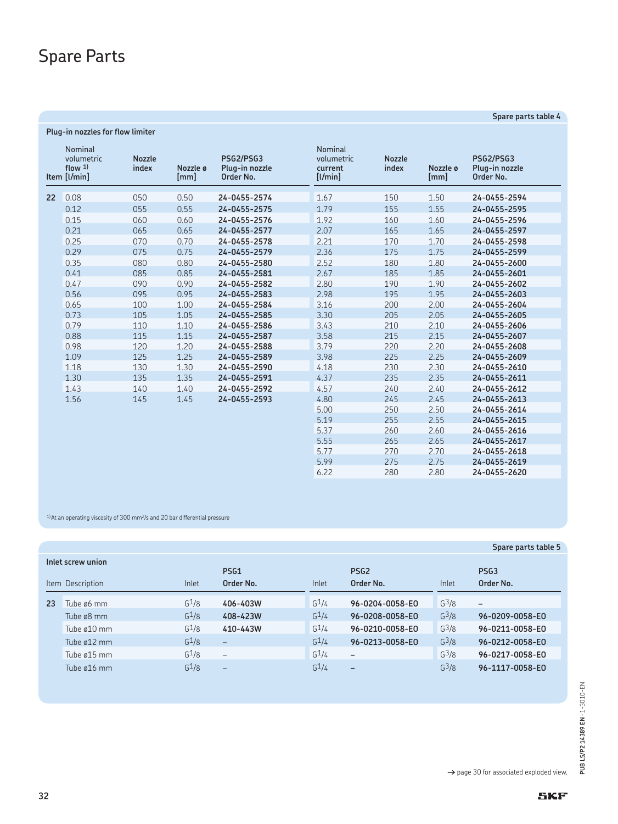## Spare Parts

| <b>Nominal</b><br>volumetric<br>flow $1$ )<br>Item [I/min] | <b>Nozzle</b><br>index | Nozzle ø<br>[mm] | <b>PSG2/PSG3</b><br>Plug-in nozzle<br>Order No. | <b>Nominal</b><br>volumetric<br>current<br>[1/min] | <b>Nozzle</b><br>index | Nozzle ø<br>[mm] | <b>PSG2/PSG3</b><br>Plug-in nozzle<br>Order No. |
|------------------------------------------------------------|------------------------|------------------|-------------------------------------------------|----------------------------------------------------|------------------------|------------------|-------------------------------------------------|
| 0.08<br>22                                                 | 050                    | 0.50             | 24-0455-2574                                    | 1.67                                               | 150                    | 1.50             | 24-0455-2594                                    |
| 0.12                                                       | 055                    | 0.55             | 24-0455-2575                                    | 1.79                                               | 155                    | 1.55             | 24-0455-2595                                    |
| 0.15                                                       | 060                    | 0.60             | 24-0455-2576                                    | 1.92                                               | 160                    | 1.60             | 24-0455-2596                                    |
| 0.21                                                       | 065                    | 0.65             | 24-0455-2577                                    | 2.07                                               | 165                    | 1.65             | 24-0455-2597                                    |
| 0.25                                                       | 070                    | 0.70             | 24-0455-2578                                    | 2.21                                               | 170                    | 1.70             | 24-0455-2598                                    |
| 0.29                                                       | 075                    | 0.75             | 24-0455-2579                                    | 2.36                                               | 175                    | 1.75             | 24-0455-2599                                    |
| 0.35                                                       | 080                    | 0.80             | 24-0455-2580                                    | 2.52                                               | 180                    | 1.80             | 24-0455-2600                                    |
| 0.41                                                       | 085                    | 0.85             | 24-0455-2581                                    | 2.67                                               | 185                    | 1.85             | 24-0455-2601                                    |
| 0.47                                                       | 090                    | 0.90             | 24-0455-2582                                    | 2.80                                               | 190                    | 1.90             | 24-0455-2602                                    |
| 0.56                                                       | 095                    | 0.95             | 24-0455-2583                                    | 2.98                                               | 195                    | 1.95             | 24-0455-2603                                    |
| 0.65                                                       | 100                    | 1.00             | 24-0455-2584                                    | 3.16                                               | 200                    | 2.00             | 24-0455-2604                                    |
| 0.73                                                       | 105                    | 1.05             | 24-0455-2585                                    | 3.30                                               | 205                    | 2.05             | 24-0455-2605                                    |
| 0.79                                                       | 110                    | 1.10             | 24-0455-2586                                    | 3.43                                               | 210                    | 2.10             | 24-0455-2606                                    |
| 0.88                                                       | 115                    | 1.15             | 24-0455-2587                                    | 3.58                                               | 215                    | 2.15             | 24-0455-2607                                    |
| 0.98                                                       | 120                    | 1.20             | 24-0455-2588                                    | 3.79                                               | 220                    | 2.20             | 24-0455-2608                                    |
| 1.09                                                       | 125                    | 1.25             | 24-0455-2589                                    | 3.98                                               | 225                    | 2.25             | 24-0455-2609                                    |
| 1.18                                                       | 130                    | 1.30             | 24-0455-2590                                    | 4.18                                               | 230                    | 2.30             | 24-0455-2610                                    |
| 1.30                                                       | 135                    | 1.35             | 24-0455-2591                                    | 4.37                                               | 235                    | 2.35             | 24-0455-2611                                    |
| 1.43                                                       | 140                    | 1.40             | 24-0455-2592                                    | 4.57                                               | 240                    | 2.40             | 24-0455-2612                                    |
| 1.56                                                       | 145                    | 1.45             | 24-0455-2593                                    | 4.80                                               | 245                    | 2.45             | 24-0455-2613                                    |
|                                                            |                        |                  |                                                 | 5.00                                               | 250                    | 2.50             | 24-0455-2614                                    |
|                                                            |                        |                  |                                                 | 5.19                                               | 255                    | 2.55             | 24-0455-2615                                    |
|                                                            |                        |                  |                                                 | 5.37                                               | 260                    | 2.60             | 24-0455-2616                                    |
|                                                            |                        |                  |                                                 | 5.55                                               | 265                    | 2.65             | 24-0455-2617                                    |
|                                                            |                        |                  |                                                 | 5.77                                               | 270                    | 2.70             | 24-0455-2618                                    |
|                                                            |                        |                  |                                                 | 5.99                                               | 275                    | 2.75             | 24-0455-2619                                    |
|                                                            |                        |                  |                                                 | 6.22                                               | 280                    | 2.80             | 24-0455-2620                                    |

 $1$ ) At an operating viscosity of 300 mm<sup>2</sup>/s and 20 bar differential pressure

|    |                                       |                   |                               |                   |                               |         | Spare parts table 5           |
|----|---------------------------------------|-------------------|-------------------------------|-------------------|-------------------------------|---------|-------------------------------|
|    | Inlet screw union<br>Item Description | Inlet             | PS <sub>G1</sub><br>Order No. | Inlet             | PSG <sub>2</sub><br>Order No. | Inlet   | PSG <sub>3</sub><br>Order No. |
|    |                                       |                   |                               |                   |                               |         |                               |
| 23 | Tube ø6 mm                            | G <sup>1</sup> /8 | 406-403W                      | G <sup>1</sup> /4 | 96-0204-0058-E0               | $G^3/8$ | $\overline{\phantom{m}}$      |
|    | Tube ø8 mm                            | G <sup>1</sup> /8 | 408-423W                      | G <sup>1</sup> /4 | 96-0208-0058-E0               | $G^3/8$ | 96-0209-0058-E0               |
|    | Tube ø10 mm                           | G <sup>1</sup> /8 | 410-443W                      | G <sup>1</sup> /4 | 96-0210-0058-E0               | $G^3/8$ | 96-0211-0058-E0               |
|    | Tube ø12 mm                           | G <sup>1</sup> /8 | $-$                           | G <sup>1</sup> /4 | 96-0213-0058-E0               | $G^3/8$ | 96-0212-0058-E0               |
|    | Tube ø15 mm                           | G <sup>1</sup> /8 | $\qquad \qquad -$             | G <sup>1</sup> /4 | $\overline{\phantom{a}}$      | $G^3/8$ | 96-0217-0058-E0               |
|    | Tube ø16 mm                           | G <sup>1</sup> /8 | $\overline{\phantom{0}}$      | G <sup>1</sup> /4 | $\qquad \qquad -$             | $G^3/8$ | 96-1117-0058-E0               |

**Spare parts table 4**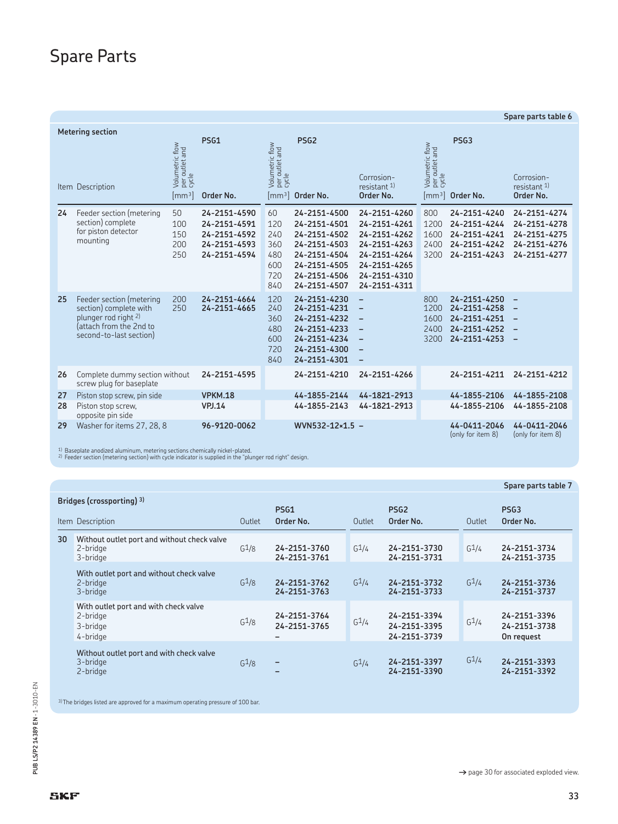## Spare Parts

|          | Spare parts table 6                                                                                                              |                                                              |                                                                              |                                                     |                                                                                                                              |                                                                                                                              |                                                             |                                                                              |                                                                                                              |
|----------|----------------------------------------------------------------------------------------------------------------------------------|--------------------------------------------------------------|------------------------------------------------------------------------------|-----------------------------------------------------|------------------------------------------------------------------------------------------------------------------------------|------------------------------------------------------------------------------------------------------------------------------|-------------------------------------------------------------|------------------------------------------------------------------------------|--------------------------------------------------------------------------------------------------------------|
|          | <b>Metering section</b><br>Item Description                                                                                      | Volumetric flow<br>per outlet and<br>cycle<br>$\text{[mm3]}$ | <b>PSG1</b><br>Order No.                                                     | Volumetric flow<br>per outlet and<br>cycle          | PSG <sub>2</sub><br>$\lceil mm^3 \rceil$ Order No.                                                                           | Corrosion-<br>resistant 1)<br>Order No.                                                                                      | Volumetric flow<br>per outlet and<br>cycle<br>$\text{Im}^3$ | PSG <sub>3</sub><br>Order No.                                                | Corrosion-<br>resistant 1)<br>Order No.                                                                      |
| 24       | Feeder section (metering<br>section) complete<br>for piston detector<br>mounting                                                 | 50<br>100<br>150<br>200<br>250                               | 24-2151-4590<br>24-2151-4591<br>24-2151-4592<br>24-2151-4593<br>24-2151-4594 | 60<br>120<br>240<br>360<br>480<br>600<br>720<br>840 | 24-2151-4500<br>24-2151-4501<br>24-2151-4502<br>24-2151-4503<br>24-2151-4504<br>24-2151-4505<br>24-2151-4506<br>24-2151-4507 | 24-2151-4260<br>24-2151-4261<br>24-2151-4262<br>24-2151-4263<br>24-2151-4264<br>24-2151-4265<br>24-2151-4310<br>24-2151-4311 | 800<br>1200<br>1600<br>2400<br>3200                         | 24-2151-4240<br>24-2151-4244<br>24-2151-4241<br>24-2151-4242<br>24-2151-4243 | 24-2151-4274<br>24-2151-4278<br>24-2151-4275<br>24-2151-4276<br>24-2151-4277                                 |
| 25       | Feeder section (metering<br>section) complete with<br>plunger rod right 2)<br>(attach from the 2nd to<br>second-to-last section) | 200<br>250                                                   | 24-2151-4664<br>24-2151-4665                                                 | 120<br>240<br>360<br>480<br>600<br>720<br>840       | 24-2151-4230<br>24-2151-4231<br>24-2151-4232<br>24-2151-4233<br>24-2151-4234<br>24-2151-4300<br>24-2151-4301                 | $\qquad \qquad -$<br>$\equiv$<br>$\overline{\phantom{0}}$<br>$\qquad \qquad -$<br>$\equiv$<br>$\overline{\phantom{0}}$       | 800<br>1200<br>1600<br>2400<br>3200                         | 24-2151-4250<br>24-2151-4258<br>24-2151-4251<br>24-2151-4252<br>24-2151-4253 | $\overline{\phantom{m}}$<br>$\qquad \qquad -$<br>$\qquad \qquad -$<br>$\qquad \qquad -$<br>$\qquad \qquad -$ |
| 26       | Complete dummy section without<br>screw plug for baseplate                                                                       |                                                              | 24-2151-4595                                                                 |                                                     | 24-2151-4210                                                                                                                 | 24-2151-4266                                                                                                                 |                                                             | 24-2151-4211                                                                 | 24-2151-4212                                                                                                 |
| 27<br>28 | Piston stop screw, pin side<br>Piston stop screw,<br>opposite pin side                                                           |                                                              | <b>VPKM.18</b><br><b>VPJ.14</b>                                              |                                                     | 44-1855-2144<br>44-1855-2143                                                                                                 | 44-1821-2913<br>44-1821-2913                                                                                                 |                                                             | 44-1855-2106<br>44-1855-2106                                                 | 44-1855-2108<br>44-1855-2108                                                                                 |
| 29       | Washer for items 27, 28, 8                                                                                                       |                                                              | 96-9120-0062                                                                 |                                                     | WVN532-12×1.5 -                                                                                                              |                                                                                                                              |                                                             | 44-0411-2046<br>(only for item 8)                                            | 44-0411-2046<br>(only for item 8)                                                                            |

<sup>1)</sup> Baseplate anodized aluminum, metering sections chemically nickel-plated.<br><sup>2)</sup> Feeder section (metering section) with cycle indicator is supplied in the "plunger rod right" design.

|      |                                                                           |                   |                               |                   |                                              |                   | Spare parts table 7                        |
|------|---------------------------------------------------------------------------|-------------------|-------------------------------|-------------------|----------------------------------------------|-------------------|--------------------------------------------|
| Item | Bridges (crossporting) 3)<br>Description                                  | Outlet            | PS <sub>G1</sub><br>Order No. | Outlet            | PSG <sub>2</sub><br>Order No.                | Outlet            | PSG <sub>3</sub><br>Order No.              |
| 30   | Without outlet port and without check valve<br>2-bridge<br>3-bridge       | G <sup>1</sup> /8 | 24-2151-3760<br>24-2151-3761  | $G^1/4$           | 24-2151-3730<br>24-2151-3731                 | G <sup>1</sup> /4 | 24-2151-3734<br>24-2151-3735               |
|      | With outlet port and without check valve<br>2-bridge<br>3-bridge          | $G^1/8$           | 24-2151-3762<br>24-2151-3763  | $G^1/4$           | 24-2151-3732<br>24-2151-3733                 | $G^1/4$           | 24-2151-3736<br>24-2151-3737               |
|      | With outlet port and with check valve<br>2-bridge<br>3-bridge<br>4-bridge | $G^1/8$           | 24-2151-3764<br>24-2151-3765  | $G^1/4$           | 24-2151-3394<br>24-2151-3395<br>24-2151-3739 | $G^1/4$           | 24-2151-3396<br>24-2151-3738<br>On request |
|      | Without outlet port and with check valve<br>3-bridge<br>2-bridge          | G <sup>1</sup> /8 | -                             | G <sup>1</sup> /4 | 24-2151-3397<br>24-2151-3390                 | G <sup>1</sup> /4 | 24-2151-3393<br>24-2151-3392               |

3) The bridges listed are approved for a maximum operating pressure of 100 bar.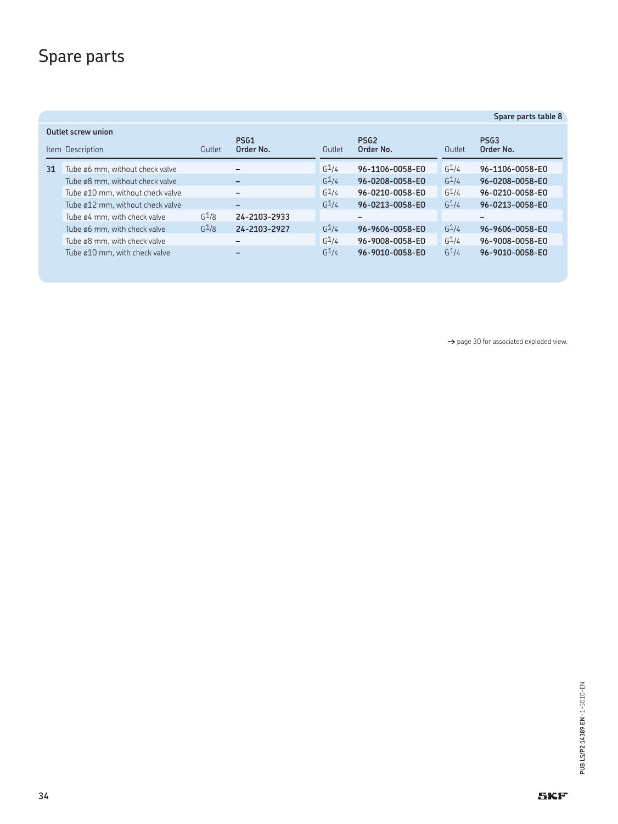## Spare parts

|                                                                       |                                  |                   |                              |  |                   |                               |                   | Spare parts table 8           |
|-----------------------------------------------------------------------|----------------------------------|-------------------|------------------------------|--|-------------------|-------------------------------|-------------------|-------------------------------|
| Outlet screw union<br>PSG1<br>Order No.<br>Item Description<br>Outlet |                                  |                   |                              |  | Outlet            | PSG <sub>2</sub><br>Order No. | Outlet            | PSG <sub>3</sub><br>Order No. |
| 31                                                                    | Tube ø6 mm, without check valve  |                   |                              |  | G <sup>1</sup> /4 | 96-1106-0058-E0               | G <sup>1</sup> /4 | 96-1106-0058-E0               |
|                                                                       | Tube ø8 mm, without check valve  |                   | $\qquad \qquad \blacksquare$ |  | G <sup>1</sup> /4 | 96-0208-0058-E0               | G <sup>1</sup> /4 | 96-0208-0058-E0               |
|                                                                       | Tube ø10 mm, without check valve |                   | $\overline{\phantom{m}}$     |  | $G^{\frac{1}{4}}$ | 96-0210-0058-E0               | $G^1/4$           | 96-0210-0058-E0               |
|                                                                       | Tube ø12 mm, without check valve |                   | $\overline{\phantom{m}}$     |  | $G^2/4$           | 96-0213-0058-E0               | $G^1/4$           | 96-0213-0058-E0               |
|                                                                       | Tube ø4 mm, with check valve     | G <sup>1</sup> /8 | 24-2103-2933                 |  |                   | $\overline{\phantom{0}}$      |                   |                               |
|                                                                       | Tube ø6 mm, with check valve     | G <sup>1</sup> /8 | 24-2103-2927                 |  | G <sup>1</sup> /4 | 96-9606-0058-E0               | G <sup>1</sup> /4 | 96-9606-0058-E0               |
|                                                                       | Tube ø8 mm, with check valve     |                   | $\overline{\phantom{m}}$     |  | $G^{\frac{1}{4}}$ | 96-9008-0058-E0               | $G^1/4$           | 96-9008-0058-E0               |
|                                                                       | Tube ø10 mm, with check valve    |                   |                              |  | G <sup>1</sup> /4 | 96-9010-0058-E0               | G <sup>1</sup> /4 | 96-9010-0058-E0               |

→ page 30 for associated exploded view.